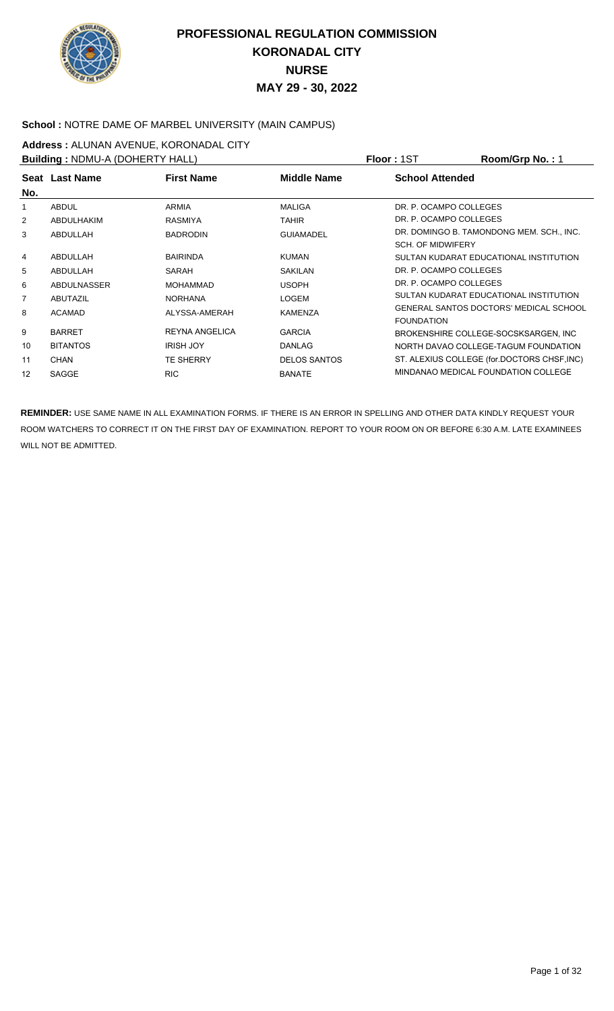

#### School : NOTRE DAME OF MARBEL UNIVERSITY (MAIN CAMPUS)

**Address : ALUNAN AVENUE, KORONADAL CITY**<br>**Building : NDMLLA (DOHERTY HALL)** 

| <b>Building: NDMU-A (DOHERTY HALL)</b> |                    |                       |                     | <b>Floor: 1ST</b>        | Room/Grp No.: 1                             |
|----------------------------------------|--------------------|-----------------------|---------------------|--------------------------|---------------------------------------------|
|                                        | Seat Last Name     | <b>First Name</b>     | <b>Middle Name</b>  | <b>School Attended</b>   |                                             |
| No.                                    |                    |                       |                     |                          |                                             |
|                                        | <b>ABDUL</b>       | ARMIA                 | <b>MALIGA</b>       | DR. P. OCAMPO COLLEGES   |                                             |
| 2                                      | ABDULHAKIM         | <b>RASMIYA</b>        | <b>TAHIR</b>        | DR. P. OCAMPO COLLEGES   |                                             |
| 3                                      | ABDULLAH           | <b>BADRODIN</b>       | <b>GUIAMADEL</b>    |                          | DR. DOMINGO B. TAMONDONG MEM. SCH., INC.    |
|                                        |                    |                       |                     | <b>SCH. OF MIDWIFERY</b> |                                             |
| 4                                      | ABDULLAH           | <b>BAIRINDA</b>       | <b>KUMAN</b>        |                          | SULTAN KUDARAT EDUCATIONAL INSTITUTION      |
| 5                                      | ABDULLAH           | SARAH                 | <b>SAKILAN</b>      | DR. P. OCAMPO COLLEGES   |                                             |
| 6                                      | <b>ABDULNASSER</b> | <b>MOHAMMAD</b>       | <b>USOPH</b>        | DR. P. OCAMPO COLLEGES   |                                             |
| 7                                      | <b>ABUTAZIL</b>    | <b>NORHANA</b>        | <b>LOGEM</b>        |                          | SULTAN KUDARAT EDUCATIONAL INSTITUTION      |
| 8                                      | <b>ACAMAD</b>      | ALYSSA-AMERAH         | <b>KAMENZA</b>      |                          | GENERAL SANTOS DOCTORS' MEDICAL SCHOOL      |
|                                        |                    |                       |                     | <b>FOUNDATION</b>        |                                             |
| 9                                      | <b>BARRET</b>      | <b>REYNA ANGELICA</b> | <b>GARCIA</b>       |                          | BROKENSHIRE COLLEGE-SOCSKSARGEN, INC        |
| 10                                     | <b>BITANTOS</b>    | <b>IRISH JOY</b>      | <b>DANLAG</b>       |                          | NORTH DAVAO COLLEGE-TAGUM FOUNDATION        |
| 11                                     | <b>CHAN</b>        | <b>TE SHERRY</b>      | <b>DELOS SANTOS</b> |                          | ST. ALEXIUS COLLEGE (for.DOCTORS CHSF, INC) |
| 12                                     | SAGGE              | <b>RIC</b>            | <b>BANATE</b>       |                          | MINDANAO MEDICAL FOUNDATION COLLEGE         |
|                                        |                    |                       |                     |                          |                                             |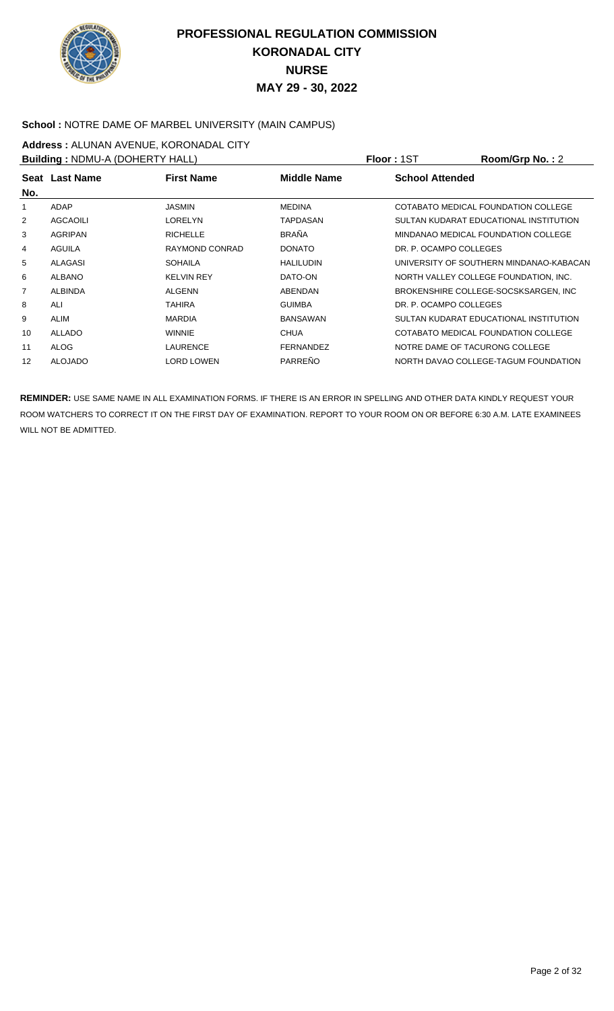

#### **School :** NOTRE DAME OF MARBEL UNIVERSITY (MAIN CAMPUS)

**Address :** ALUNAN AVENUE, KORONADAL CITY

| <b>Building: NDMU-A (DOHERTY HALL)</b> |                 |                   |                    | <b>Floor: 1ST</b>              | Room/Grp No.: 2                         |
|----------------------------------------|-----------------|-------------------|--------------------|--------------------------------|-----------------------------------------|
| No.                                    | Seat Last Name  | <b>First Name</b> | <b>Middle Name</b> | <b>School Attended</b>         |                                         |
| 1                                      | ADAP            | JASMIN            | <b>MEDINA</b>      |                                | COTABATO MEDICAL FOUNDATION COLLEGE     |
| 2                                      | <b>AGCAOILI</b> | LORELYN           | <b>TAPDASAN</b>    |                                | SULTAN KUDARAT EDUCATIONAL INSTITUTION  |
| 3                                      | AGRIPAN         | <b>RICHELLE</b>   | <b>BRAÑA</b>       |                                | MINDANAO MEDICAL FOUNDATION COLLEGE     |
| 4                                      | <b>AGUILA</b>   | RAYMOND CONRAD    | <b>DONATO</b>      | DR. P. OCAMPO COLLEGES         |                                         |
| 5                                      | ALAGASI         | <b>SOHAILA</b>    | <b>HALILUDIN</b>   |                                | UNIVERSITY OF SOUTHERN MINDANAO-KABACAN |
| 6                                      | <b>ALBANO</b>   | <b>KELVIN REY</b> | DATO-ON            |                                | NORTH VALLEY COLLEGE FOUNDATION, INC.   |
| 7                                      | <b>ALBINDA</b>  | <b>ALGENN</b>     | <b>ABENDAN</b>     |                                | BROKENSHIRE COLLEGE-SOCSKSARGEN, INC    |
| 8                                      | ALI             | TAHIRA            | <b>GUIMBA</b>      | DR. P. OCAMPO COLLEGES         |                                         |
| 9                                      | ALIM            | <b>MARDIA</b>     | <b>BANSAWAN</b>    |                                | SULTAN KUDARAT EDUCATIONAL INSTITUTION  |
| 10                                     | ALLADO          | <b>WINNIE</b>     | <b>CHUA</b>        |                                | COTABATO MEDICAL FOUNDATION COLLEGE     |
| 11                                     | <b>ALOG</b>     | <b>LAURENCE</b>   | <b>FERNANDEZ</b>   | NOTRE DAME OF TACURONG COLLEGE |                                         |
| 12                                     | <b>ALOJADO</b>  | LORD LOWEN        | PARREÑO            |                                | NORTH DAVAO COLLEGE-TAGUM FOUNDATION    |
|                                        |                 |                   |                    |                                |                                         |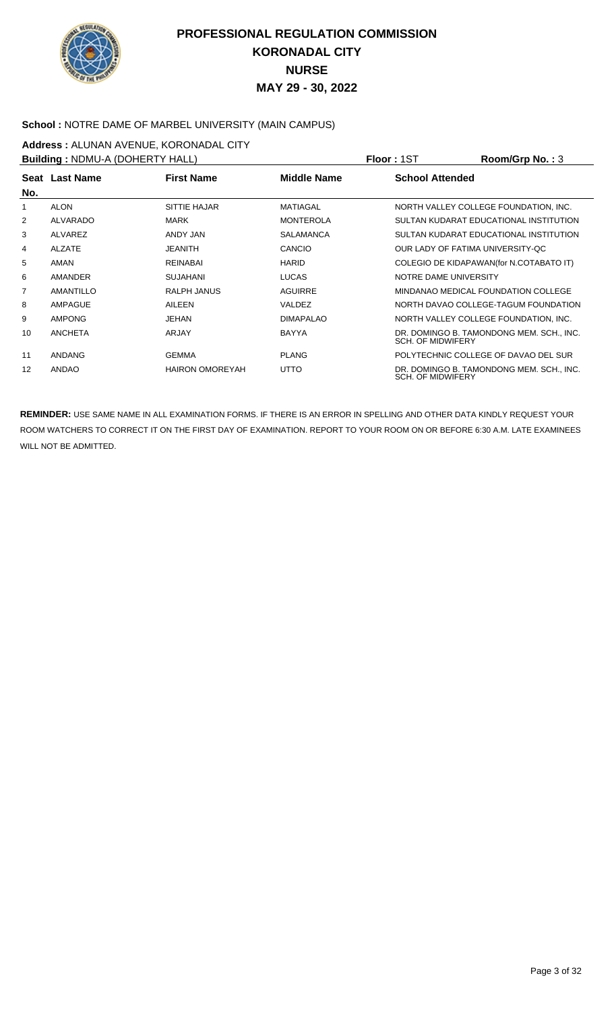

### **School :** NOTRE DAME OF MARBEL UNIVERSITY (MAIN CAMPUS)

**Address :** ALUNAN AVENUE, KORONADAL CITY

| <b>Building: NDMU-A (DOHERTY HALL)</b> |                |                        |                    | <b>Floor: 1ST</b>                | Room/Grp No.: 3                          |
|----------------------------------------|----------------|------------------------|--------------------|----------------------------------|------------------------------------------|
| No.                                    | Seat Last Name | <b>First Name</b>      | <b>Middle Name</b> | <b>School Attended</b>           |                                          |
| 1                                      | <b>ALON</b>    | <b>SITTIE HAJAR</b>    | <b>MATIAGAL</b>    |                                  | NORTH VALLEY COLLEGE FOUNDATION, INC.    |
| 2                                      | ALVARADO       | <b>MARK</b>            | <b>MONTEROLA</b>   |                                  | SULTAN KUDARAT EDUCATIONAL INSTITUTION   |
| 3                                      | ALVAREZ        | ANDY JAN               | <b>SALAMANCA</b>   |                                  | SULTAN KUDARAT EDUCATIONAL INSTITUTION   |
| 4                                      | ALZATE         | <b>JEANITH</b>         | CANCIO             | OUR LADY OF FATIMA UNIVERSITY-OC |                                          |
| 5                                      | AMAN           | <b>REINABAI</b>        | <b>HARID</b>       |                                  | COLEGIO DE KIDAPAWAN(for N.COTABATO IT)  |
| 6                                      | <b>AMANDER</b> | <b>SUJAHANI</b>        | <b>LUCAS</b>       | NOTRE DAME UNIVERSITY            |                                          |
| 7                                      | AMANTILLO      | RALPH JANUS            | <b>AGUIRRE</b>     |                                  | MINDANAO MEDICAL FOUNDATION COLLEGE      |
| 8                                      | AMPAGUE        | AILEEN                 | VALDEZ             |                                  | NORTH DAVAO COLLEGE-TAGUM FOUNDATION     |
| 9                                      | <b>AMPONG</b>  | JEHAN                  | <b>DIMAPALAO</b>   |                                  | NORTH VALLEY COLLEGE FOUNDATION, INC.    |
| 10                                     | <b>ANCHETA</b> | ARJAY                  | <b>BAYYA</b>       | <b>SCH. OF MIDWIFERY</b>         | DR. DOMINGO B. TAMONDONG MEM. SCH., INC. |
| 11                                     | ANDANG         | <b>GEMMA</b>           | <b>PLANG</b>       |                                  | POLYTECHNIC COLLEGE OF DAVAO DEL SUR     |
| 12                                     | ANDAO          | <b>HAIRON OMOREYAH</b> | <b>UTTO</b>        | <b>SCH. OF MIDWIFERY</b>         | DR. DOMINGO B. TAMONDONG MEM. SCH., INC. |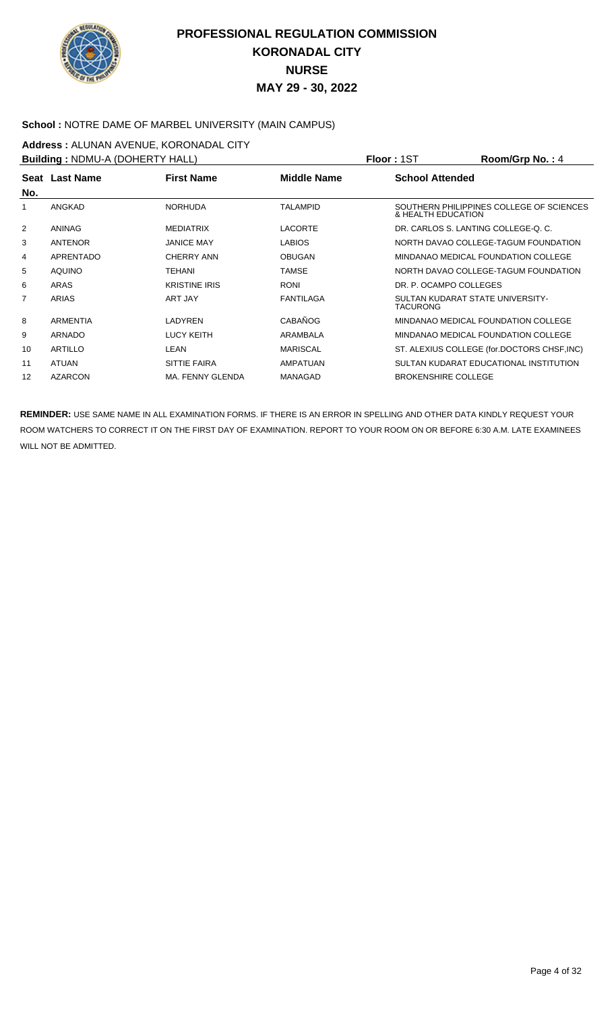

#### **School :** NOTRE DAME OF MARBEL UNIVERSITY (MAIN CAMPUS)

**Address : ALUNAN AVENUE, KORONADAL CITY**<br>**Building : NDMLLA (DOHERTY HALL)** 

| <b>Building: NDMU-A (DOHERTY HALL)</b> |                 |                      |                    | <b>Floor: 1ST</b>          | Room/Grp No.: 4                             |
|----------------------------------------|-----------------|----------------------|--------------------|----------------------------|---------------------------------------------|
|                                        | Seat Last Name  | <b>First Name</b>    | <b>Middle Name</b> | <b>School Attended</b>     |                                             |
| No.                                    |                 |                      |                    |                            |                                             |
|                                        | ANGKAD          | <b>NORHUDA</b>       | <b>TALAMPID</b>    | & HEALTH EDUCATION         | SOUTHERN PHILIPPINES COLLEGE OF SCIENCES    |
| 2                                      | ANINAG          | <b>MEDIATRIX</b>     | <b>LACORTE</b>     |                            | DR. CARLOS S. LANTING COLLEGE-Q. C.         |
| 3                                      | ANTENOR         | <b>JANICE MAY</b>    | <b>LABIOS</b>      |                            | NORTH DAVAO COLLEGE-TAGUM FOUNDATION        |
| 4                                      | APRENTADO       | CHERRY ANN           | <b>OBUGAN</b>      |                            | MINDANAO MEDICAL FOUNDATION COLLEGE         |
| 5                                      | <b>AQUINO</b>   | <b>TEHANI</b>        | <b>TAMSE</b>       |                            | NORTH DAVAO COLLEGE-TAGUM FOUNDATION        |
| 6                                      | ARAS            | <b>KRISTINE IRIS</b> | <b>RONI</b>        | DR. P. OCAMPO COLLEGES     |                                             |
| $\overline{7}$                         | ARIAS           | ART JAY              | <b>FANTILAGA</b>   | <b>TACURONG</b>            | SULTAN KUDARAT STATE UNIVERSITY-            |
| 8                                      | <b>ARMENTIA</b> | LADYREN              | CABAÑOG            |                            | MINDANAO MEDICAL FOUNDATION COLLEGE         |
| 9                                      | ARNADO          | <b>LUCY KEITH</b>    | ARAMBALA           |                            | MINDANAO MEDICAL FOUNDATION COLLEGE         |
| 10                                     | <b>ARTILLO</b>  | LEAN                 | <b>MARISCAL</b>    |                            | ST. ALEXIUS COLLEGE (for.DOCTORS CHSF, INC) |
| 11                                     | <b>ATUAN</b>    | <b>SITTIE FAIRA</b>  | AMPATUAN           |                            | SULTAN KUDARAT EDUCATIONAL INSTITUTION      |
| 12                                     | <b>AZARCON</b>  | MA. FENNY GLENDA     | MANAGAD            | <b>BROKENSHIRE COLLEGE</b> |                                             |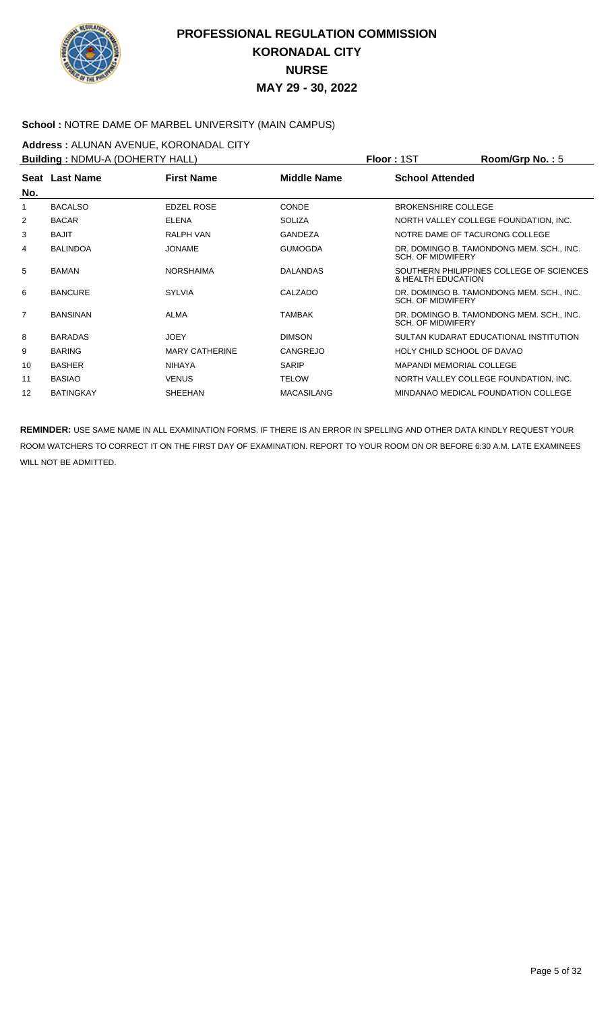

#### School : NOTRE DAME OF MARBEL UNIVERSITY (MAIN CAMPUS)

**Address : ALUNAN AVENUE, KORONADAL CITY**<br>**Building : NDMLLA (DOHERTY HALL)** 

| <b>Building: NDMU-A (DOHERTY HALL)</b> |                  |                       |                    | Room/Grp No.: 5<br><b>Floor: 1ST</b>                                 |
|----------------------------------------|------------------|-----------------------|--------------------|----------------------------------------------------------------------|
|                                        | Seat Last Name   | <b>First Name</b>     | <b>Middle Name</b> | <b>School Attended</b>                                               |
| No.                                    |                  |                       |                    |                                                                      |
|                                        | <b>BACALSO</b>   | <b>EDZEL ROSE</b>     | <b>CONDE</b>       | <b>BROKENSHIRE COLLEGE</b>                                           |
| 2                                      | <b>BACAR</b>     | <b>ELENA</b>          | <b>SOLIZA</b>      | NORTH VALLEY COLLEGE FOUNDATION, INC.                                |
| 3                                      | <b>BAJIT</b>     | RALPH VAN             | <b>GANDEZA</b>     | NOTRE DAME OF TACURONG COLLEGE                                       |
| 4                                      | <b>BALINDOA</b>  | <b>JONAME</b>         | <b>GUMOGDA</b>     | DR. DOMINGO B. TAMONDONG MEM. SCH., INC.<br><b>SCH. OF MIDWIFERY</b> |
| 5                                      | <b>BAMAN</b>     | <b>NORSHAIMA</b>      | <b>DALANDAS</b>    | SOUTHERN PHILIPPINES COLLEGE OF SCIENCES<br>& HEALTH EDUCATION       |
| 6                                      | <b>BANCURE</b>   | SYI VIA               | CALZADO            | DR. DOMINGO B. TAMONDONG MEM. SCH., INC.<br><b>SCH. OF MIDWIFERY</b> |
| $\overline{7}$                         | <b>BANSINAN</b>  | <b>ALMA</b>           | <b>TAMBAK</b>      | DR. DOMINGO B. TAMONDONG MEM. SCH., INC.<br><b>SCH. OF MIDWIFERY</b> |
| 8                                      | <b>BARADAS</b>   | JOEY                  | <b>DIMSON</b>      | SULTAN KUDARAT EDUCATIONAL INSTITUTION                               |
| 9                                      | <b>BARING</b>    | <b>MARY CATHERINE</b> | <b>CANGREJO</b>    | HOLY CHILD SCHOOL OF DAVAO                                           |
| 10                                     | <b>BASHER</b>    | <b>NIHAYA</b>         | <b>SARIP</b>       | <b>MAPANDI MEMORIAL COLLEGE</b>                                      |
| 11                                     | <b>BASIAO</b>    | <b>VENUS</b>          | <b>TELOW</b>       | NORTH VALLEY COLLEGE FOUNDATION, INC.                                |
| $12 \overline{ }$                      | <b>BATINGKAY</b> | <b>SHEEHAN</b>        | <b>MACASILANG</b>  | MINDANAO MEDICAL FOUNDATION COLLEGE                                  |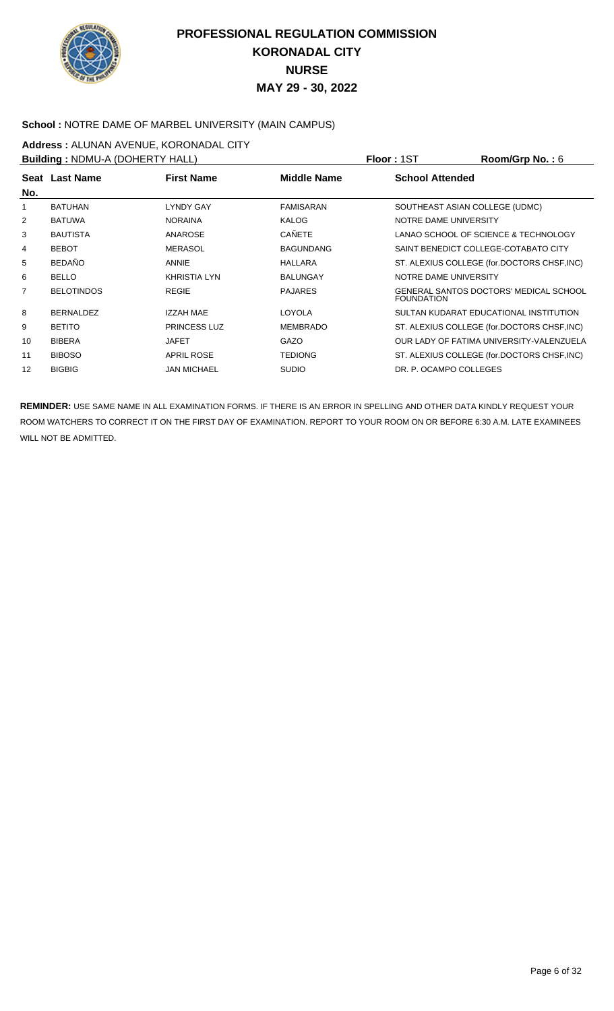

### **School :** NOTRE DAME OF MARBEL UNIVERSITY (MAIN CAMPUS)

**Address :** ALUNAN AVENUE, KORONADAL CITY **Building :** NDMU-A (DOHERTY HALL) **Floor :** 1ST **Room/Grp No. :** 6

| <b>Bullaing: NDIVIU-A (DOHERTY HALL)</b> |                   |                     |                    | <b>FIOOL:</b> 121<br>ROOM/Grp NO.: 0                        |
|------------------------------------------|-------------------|---------------------|--------------------|-------------------------------------------------------------|
| No.                                      | Seat Last Name    | <b>First Name</b>   | <b>Middle Name</b> | <b>School Attended</b>                                      |
|                                          | <b>BATUHAN</b>    | <b>LYNDY GAY</b>    | <b>FAMISARAN</b>   | SOUTHEAST ASIAN COLLEGE (UDMC)                              |
| 2                                        | <b>BATUWA</b>     | <b>NORAINA</b>      | <b>KALOG</b>       | NOTRE DAME UNIVERSITY                                       |
| 3                                        | <b>BAUTISTA</b>   | ANAROSE             | <b>CAÑETE</b>      | LANAO SCHOOL OF SCIENCE & TECHNOLOGY                        |
| 4                                        | <b>BEBOT</b>      | <b>MERASOL</b>      | <b>BAGUNDANG</b>   | SAINT BENEDICT COLLEGE-COTABATO CITY                        |
| 5                                        | <b>BEDAÑO</b>     | ANNIE               | HALLARA            | ST. ALEXIUS COLLEGE (for.DOCTORS CHSF, INC)                 |
| 6                                        | <b>BELLO</b>      | <b>KHRISTIA LYN</b> | <b>BALUNGAY</b>    | NOTRE DAME UNIVERSITY                                       |
| $\overline{7}$                           | <b>BELOTINDOS</b> | <b>REGIE</b>        | <b>PAJARES</b>     | GENERAL SANTOS DOCTORS' MEDICAL SCHOOL<br><b>FOUNDATION</b> |
| 8                                        | <b>BERNALDEZ</b>  | IZZAH MAE           | LOYOLA             | SULTAN KUDARAT EDUCATIONAL INSTITUTION                      |
| 9                                        | <b>BETITO</b>     | PRINCESS LUZ        | <b>MEMBRADO</b>    | ST. ALEXIUS COLLEGE (for.DOCTORS CHSF, INC)                 |
| 10                                       | <b>BIBERA</b>     | <b>JAFET</b>        | GAZO               | OUR LADY OF FATIMA UNIVERSITY-VALENZUELA                    |
| 11                                       | <b>BIBOSO</b>     | <b>APRIL ROSE</b>   | <b>TEDIONG</b>     | ST. ALEXIUS COLLEGE (for.DOCTORS CHSF, INC)                 |
| 12                                       | <b>BIGBIG</b>     | <b>JAN MICHAEL</b>  | <b>SUDIO</b>       | DR. P. OCAMPO COLLEGES                                      |
|                                          |                   |                     |                    |                                                             |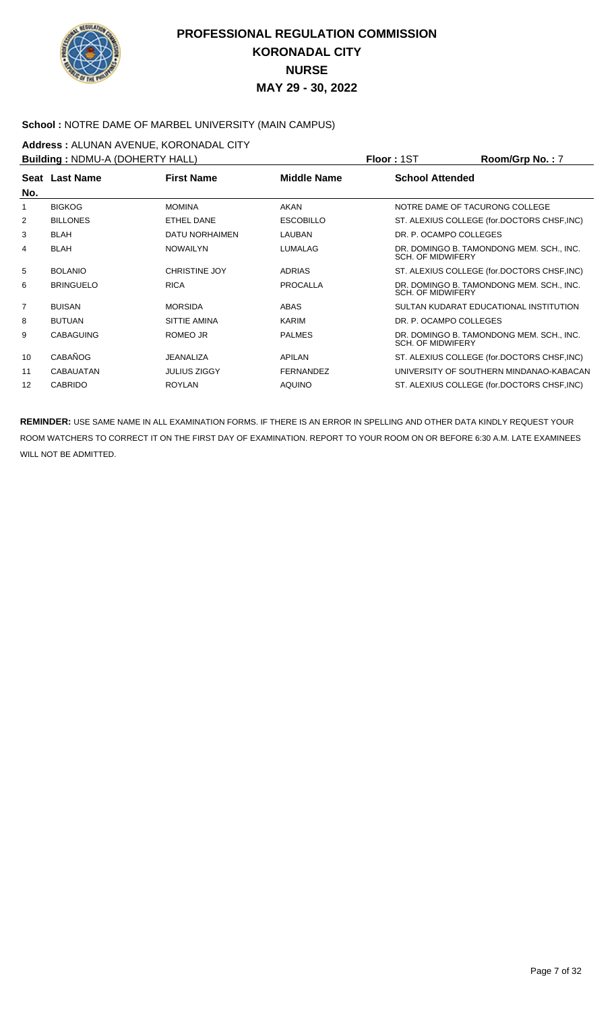

#### **School :** NOTRE DAME OF MARBEL UNIVERSITY (MAIN CAMPUS)

**Address :** ALUNAN AVENUE, KORONADAL CITY

| <b>Building: NDMU-A (DOHERTY HALL)</b> |                  |                      |                    | <b>Floor: 1ST</b>        | Room/Grp No.: 7                             |
|----------------------------------------|------------------|----------------------|--------------------|--------------------------|---------------------------------------------|
|                                        | Seat Last Name   | <b>First Name</b>    | <b>Middle Name</b> | <b>School Attended</b>   |                                             |
| No.                                    |                  |                      |                    |                          |                                             |
|                                        | <b>BIGKOG</b>    | <b>MOMINA</b>        | <b>AKAN</b>        |                          | NOTRE DAME OF TACURONG COLLEGE              |
| $\overline{2}$                         | <b>BILLONES</b>  | ETHEL DANE           | <b>ESCOBILLO</b>   |                          | ST. ALEXIUS COLLEGE (for.DOCTORS CHSF, INC) |
| 3                                      | <b>BLAH</b>      | DATU NORHAIMEN       | LAUBAN             | DR. P. OCAMPO COLLEGES   |                                             |
| 4                                      | <b>BLAH</b>      | <b>NOWAILYN</b>      | <b>LUMALAG</b>     | <b>SCH. OF MIDWIFERY</b> | DR. DOMINGO B. TAMONDONG MEM. SCH., INC.    |
| 5                                      | <b>BOLANIO</b>   | <b>CHRISTINE JOY</b> | <b>ADRIAS</b>      |                          | ST. ALEXIUS COLLEGE (for.DOCTORS CHSF, INC) |
| 6                                      | <b>BRINGUELO</b> | <b>RICA</b>          | <b>PROCALLA</b>    | <b>SCH. OF MIDWIFERY</b> | DR. DOMINGO B. TAMONDONG MEM. SCH., INC.    |
| $\overline{7}$                         | <b>BUISAN</b>    | <b>MORSIDA</b>       | ABAS               |                          | SULTAN KUDARAT EDUCATIONAL INSTITUTION      |
| 8                                      | <b>BUTUAN</b>    | SITTIE AMINA         | KARIM              | DR. P. OCAMPO COLLEGES   |                                             |
| 9                                      | <b>CABAGUING</b> | ROMEO JR             | <b>PALMES</b>      | <b>SCH. OF MIDWIFERY</b> | DR. DOMINGO B. TAMONDONG MEM. SCH., INC.    |
| 10                                     | <b>CABAÑOG</b>   | <b>JEANALIZA</b>     | <b>APILAN</b>      |                          | ST. ALEXIUS COLLEGE (for.DOCTORS CHSF, INC) |
| 11                                     | <b>CABAUATAN</b> | <b>JULIUS ZIGGY</b>  | <b>FERNANDEZ</b>   |                          | UNIVERSITY OF SOUTHERN MINDANAO-KABACAN     |
| 12                                     | <b>CABRIDO</b>   | <b>ROYLAN</b>        | <b>AQUINO</b>      |                          | ST. ALEXIUS COLLEGE (for.DOCTORS CHSF, INC) |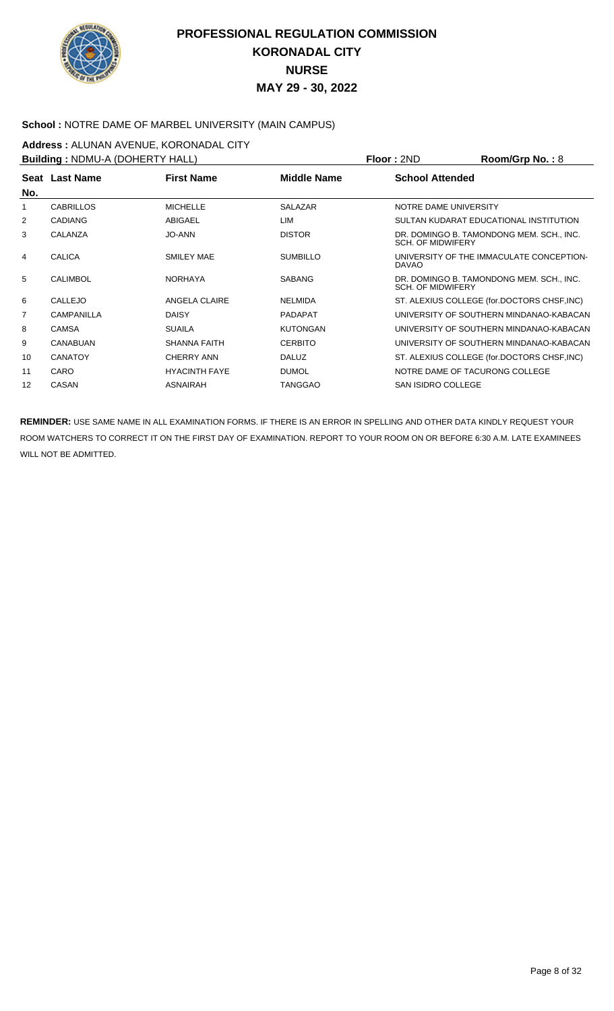

#### **School :** NOTRE DAME OF MARBEL UNIVERSITY (MAIN CAMPUS)

**Address : ALUNAN AVENUE, KORONADAL CITY**<br>**Building : NDMLLA (DOHERTY HALL)** 

| <b>Building: NDMU-A (DOHERTY HALL)</b> |                  |                      |                    | <b>Floor: 2ND</b>              | Room/Grp No.: $8$                           |
|----------------------------------------|------------------|----------------------|--------------------|--------------------------------|---------------------------------------------|
|                                        | Seat Last Name   | <b>First Name</b>    | <b>Middle Name</b> | <b>School Attended</b>         |                                             |
| No.                                    |                  |                      |                    |                                |                                             |
|                                        | <b>CABRILLOS</b> | <b>MICHELLE</b>      | <b>SALAZAR</b>     | NOTRE DAME UNIVERSITY          |                                             |
| 2                                      | <b>CADIANG</b>   | ABIGAEL              | LIM                |                                | SULTAN KUDARAT EDUCATIONAL INSTITUTION      |
| 3                                      | CALANZA          | <b>JO-ANN</b>        | <b>DISTOR</b>      | <b>SCH. OF MIDWIFERY</b>       | DR. DOMINGO B. TAMONDONG MEM. SCH., INC.    |
| 4                                      | <b>CALICA</b>    | SMILEY MAE           | <b>SUMBILLO</b>    | <b>DAVAO</b>                   | UNIVERSITY OF THE IMMACULATE CONCEPTION-    |
| 5                                      | CALIMBOL         | <b>NORHAYA</b>       | <b>SABANG</b>      | <b>SCH. OF MIDWIFERY</b>       | DR. DOMINGO B. TAMONDONG MEM. SCH., INC.    |
| 6                                      | CALLEJO          | ANGELA CLAIRE        | NELMIDA            |                                | ST. ALEXIUS COLLEGE (for.DOCTORS CHSF, INC) |
| $\overline{7}$                         | CAMPANILLA       | <b>DAISY</b>         | <b>PADAPAT</b>     |                                | UNIVERSITY OF SOUTHERN MINDANAO-KABACAN     |
| 8                                      | <b>CAMSA</b>     | <b>SUAILA</b>        | <b>KUTONGAN</b>    |                                | UNIVERSITY OF SOUTHERN MINDANAO-KABACAN     |
| 9                                      | <b>CANABUAN</b>  | <b>SHANNA FAITH</b>  | <b>CERBITO</b>     |                                | UNIVERSITY OF SOUTHERN MINDANAO-KABACAN     |
| 10                                     | <b>CANATOY</b>   | <b>CHERRY ANN</b>    | <b>DALUZ</b>       |                                | ST. ALEXIUS COLLEGE (for.DOCTORS CHSF, INC) |
| 11                                     | <b>CARO</b>      | <b>HYACINTH FAYE</b> | <b>DUMOL</b>       | NOTRE DAME OF TACURONG COLLEGE |                                             |
| 12                                     | CASAN            | <b>ASNAIRAH</b>      | <b>TANGGAO</b>     | <b>SAN ISIDRO COLLEGE</b>      |                                             |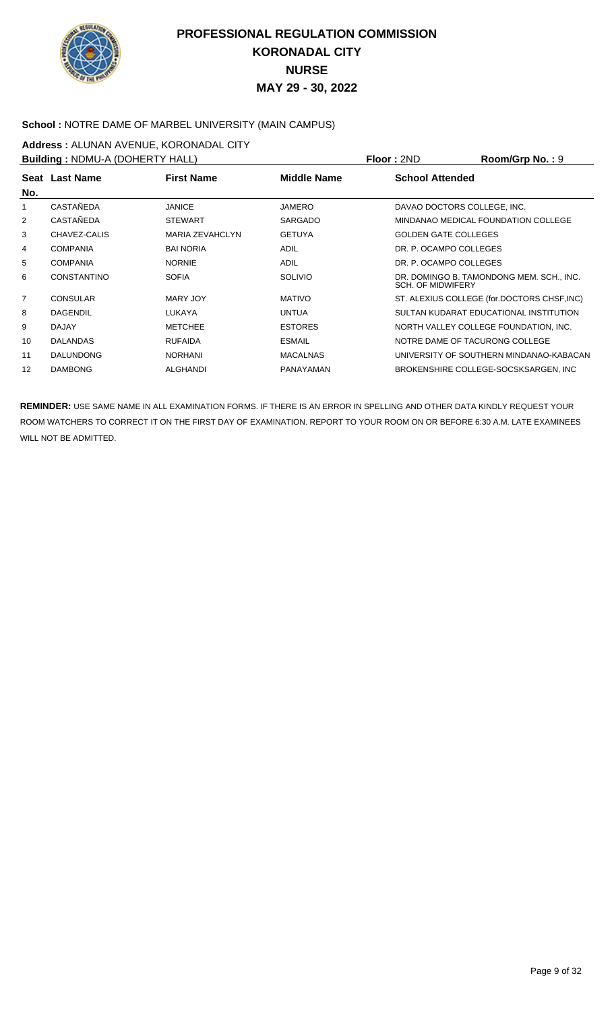

#### **School :** NOTRE DAME OF MARBEL UNIVERSITY (MAIN CAMPUS)

**Address :** ALUNAN AVENUE, KORONADAL CITY

|                    |                        |                                        |                                | Room/Grp No.: 9                             |
|--------------------|------------------------|----------------------------------------|--------------------------------|---------------------------------------------|
|                    | <b>First Name</b>      | <b>Middle Name</b>                     | <b>School Attended</b>         |                                             |
| CASTAÑEDA          | <b>JANICE</b>          | <b>JAMERO</b>                          | DAVAO DOCTORS COLLEGE, INC.    |                                             |
| CASTAÑEDA          | <b>STEWART</b>         | <b>SARGADO</b>                         |                                | MINDANAO MEDICAL FOUNDATION COLLEGE         |
| CHAVEZ-CALIS       | <b>MARIA ZEVAHCLYN</b> | <b>GETUYA</b>                          | <b>GOLDEN GATE COLLEGES</b>    |                                             |
| <b>COMPANIA</b>    | <b>BAI NORIA</b>       | <b>ADIL</b>                            | DR. P. OCAMPO COLLEGES         |                                             |
| <b>COMPANIA</b>    | <b>NORNIE</b>          | <b>ADIL</b>                            | DR. P. OCAMPO COLLEGES         |                                             |
| <b>CONSTANTINO</b> | <b>SOFIA</b>           | <b>SOLIVIO</b>                         | <b>SCH. OF MIDWIFERY</b>       | DR. DOMINGO B. TAMONDONG MEM. SCH., INC.    |
| <b>CONSULAR</b>    | MARY JOY               | <b>MATIVO</b>                          |                                | ST. ALEXIUS COLLEGE (for.DOCTORS CHSF, INC) |
| <b>DAGENDIL</b>    | LUKAYA                 | <b>UNTUA</b>                           |                                | SULTAN KUDARAT EDUCATIONAL INSTITUTION      |
| <b>DAJAY</b>       | <b>METCHEE</b>         | <b>ESTORES</b>                         |                                | NORTH VALLEY COLLEGE FOUNDATION, INC.       |
| <b>DALANDAS</b>    | <b>RUFAIDA</b>         | <b>ESMAIL</b>                          | NOTRE DAME OF TACURONG COLLEGE |                                             |
| <b>DALUNDONG</b>   | <b>NORHANI</b>         | <b>MACALNAS</b>                        |                                | UNIVERSITY OF SOUTHERN MINDANAO-KABACAN     |
| <b>DAMBONG</b>     | <b>ALGHANDI</b>        | <b>PANAYAMAN</b>                       |                                | BROKENSHIRE COLLEGE-SOCSKSARGEN, INC        |
|                    | Seat Last Name         | <b>Building: NDMU-A (DOHERTY HALL)</b> |                                | <b>Floor: 2ND</b>                           |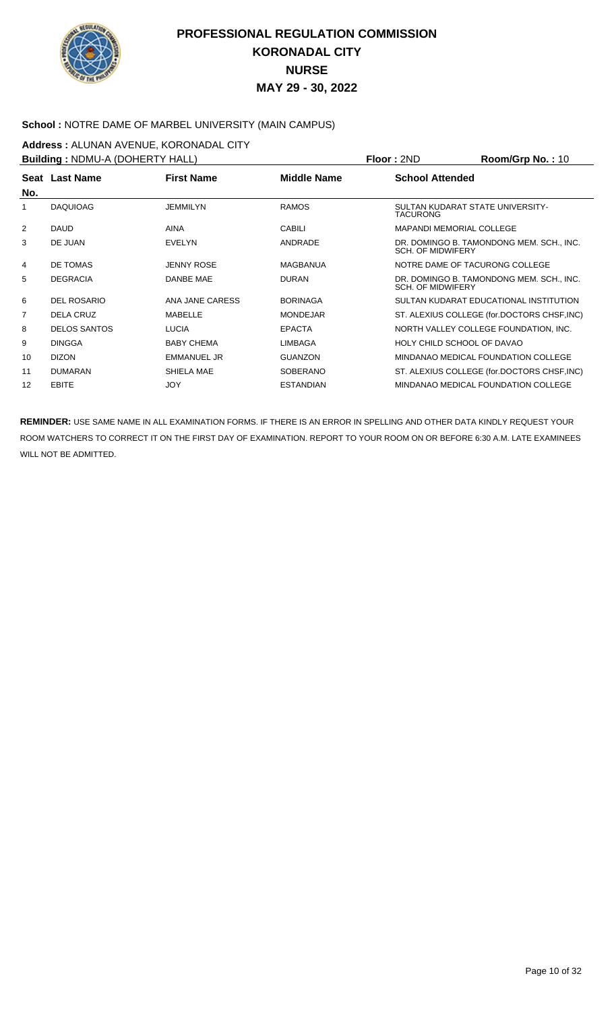

#### **School :** NOTRE DAME OF MARBEL UNIVERSITY (MAIN CAMPUS)

**Address :** ALUNAN AVENUE, KORONADAL CITY

| <b>Building: NDMU-A (DOHERTY HALL)</b> |                     |                    |                    | <b>Floor: 2ND</b>                                   | Room/Grp No.: 10                            |
|----------------------------------------|---------------------|--------------------|--------------------|-----------------------------------------------------|---------------------------------------------|
| Seat                                   | <b>Last Name</b>    | <b>First Name</b>  | <b>Middle Name</b> | <b>School Attended</b>                              |                                             |
| No.                                    |                     |                    |                    |                                                     |                                             |
|                                        | <b>DAQUIOAG</b>     | <b>JEMMILYN</b>    | <b>RAMOS</b>       | SULTAN KUDARAT STATE UNIVERSITY-<br><b>TACURONG</b> |                                             |
| 2                                      | <b>DAUD</b>         | <b>AINA</b>        | <b>CABILI</b>      | <b>MAPANDI MEMORIAL COLLEGE</b>                     |                                             |
| 3                                      | DE JUAN             | <b>EVELYN</b>      | ANDRADE            | <b>SCH. OF MIDWIFERY</b>                            | DR. DOMINGO B. TAMONDONG MEM. SCH., INC.    |
| 4                                      | DE TOMAS            | <b>JENNY ROSE</b>  | MAGBANUA           | NOTRE DAME OF TACURONG COLLEGE                      |                                             |
| 5                                      | <b>DEGRACIA</b>     | DANBE MAE          | <b>DURAN</b>       | <b>SCH. OF MIDWIFERY</b>                            | DR. DOMINGO B. TAMONDONG MEM. SCH., INC.    |
| 6                                      | DEL ROSARIO         | ANA JANE CARESS    | <b>BORINAGA</b>    |                                                     | SULTAN KUDARAT EDUCATIONAL INSTITUTION      |
| 7                                      | DELA CRUZ           | <b>MABELLE</b>     | <b>MONDEJAR</b>    |                                                     | ST. ALEXIUS COLLEGE (for.DOCTORS CHSF, INC) |
| 8                                      | <b>DELOS SANTOS</b> | <b>LUCIA</b>       | <b>EPACTA</b>      |                                                     | NORTH VALLEY COLLEGE FOUNDATION, INC.       |
| 9                                      | <b>DINGGA</b>       | <b>BABY CHEMA</b>  | <b>LIMBAGA</b>     | HOLY CHILD SCHOOL OF DAVAO                          |                                             |
| 10                                     | <b>DIZON</b>        | <b>EMMANUEL JR</b> | <b>GUANZON</b>     |                                                     | MINDANAO MEDICAL FOUNDATION COLLEGE         |
| 11                                     | <b>DUMARAN</b>      | SHIELA MAE         | <b>SOBERANO</b>    |                                                     | ST. ALEXIUS COLLEGE (for.DOCTORS CHSF, INC) |
| 12                                     | EBITE               | <b>JOY</b>         | <b>ESTANDIAN</b>   |                                                     | MINDANAO MEDICAL FOUNDATION COLLEGE         |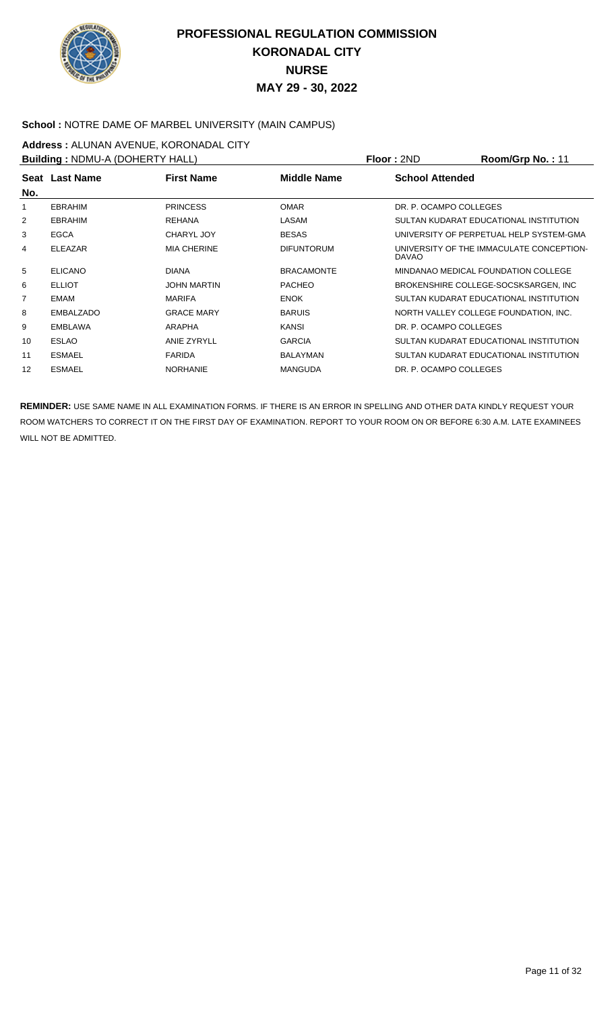

### School : NOTRE DAME OF MARBEL UNIVERSITY (MAIN CAMPUS)

**Address : ALUNAN AVENUE, KORONADAL CITY**<br>**Building : NDMLLA (DOHERTY HALL)** 

| <b>Building: NDMU-A (DOHERTY HALL)</b> |                |                    |                   | Floor: 2ND             | Room/Grp No.: 11                         |
|----------------------------------------|----------------|--------------------|-------------------|------------------------|------------------------------------------|
|                                        | Seat Last Name | <b>First Name</b>  | Middle Name       | <b>School Attended</b> |                                          |
| No.                                    |                |                    |                   |                        |                                          |
|                                        | <b>EBRAHIM</b> | <b>PRINCESS</b>    | <b>OMAR</b>       | DR. P. OCAMPO COLLEGES |                                          |
| 2                                      | <b>EBRAHIM</b> | <b>REHANA</b>      | LASAM             |                        | SULTAN KUDARAT EDUCATIONAL INSTITUTION   |
| 3                                      | <b>EGCA</b>    | <b>CHARYL JOY</b>  | <b>BESAS</b>      |                        | UNIVERSITY OF PERPETUAL HELP SYSTEM-GMA  |
| 4                                      | <b>ELEAZAR</b> | <b>MIA CHERINE</b> | <b>DIFUNTORUM</b> | <b>DAVAO</b>           | UNIVERSITY OF THE IMMACULATE CONCEPTION- |
| 5                                      | <b>ELICANO</b> | <b>DIANA</b>       | <b>BRACAMONTE</b> |                        | MINDANAO MEDICAL FOUNDATION COLLEGE      |
| 6                                      | <b>ELLIOT</b>  | <b>JOHN MARTIN</b> | <b>PACHEO</b>     |                        | BROKENSHIRE COLLEGE-SOCSKSARGEN, INC     |
| 7                                      | EMAM           | <b>MARIFA</b>      | <b>ENOK</b>       |                        | SULTAN KUDARAT EDUCATIONAL INSTITUTION   |
| 8                                      | EMBALZADO      | <b>GRACE MARY</b>  | <b>BARUIS</b>     |                        | NORTH VALLEY COLLEGE FOUNDATION, INC.    |
| 9                                      | <b>EMBLAWA</b> | ARAPHA             | <b>KANSI</b>      | DR. P. OCAMPO COLLEGES |                                          |
| 10                                     | <b>ESLAO</b>   | ANIE ZYRYLL        | <b>GARCIA</b>     |                        | SULTAN KUDARAT EDUCATIONAL INSTITUTION   |
| 11                                     | <b>ESMAEL</b>  | <b>FARIDA</b>      | BALAYMAN          |                        | SULTAN KUDARAT EDUCATIONAL INSTITUTION   |
| 12                                     | <b>ESMAEL</b>  | <b>NORHANIE</b>    | <b>MANGUDA</b>    | DR. P. OCAMPO COLLEGES |                                          |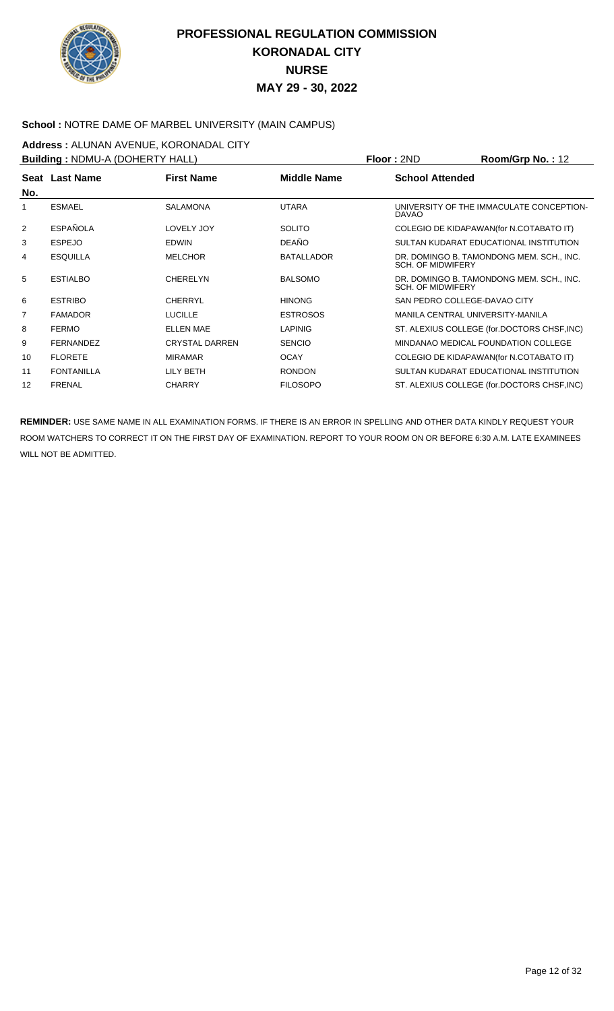

#### **School :** NOTRE DAME OF MARBEL UNIVERSITY (MAIN CAMPUS)

**Address : ALUNAN AVENUE, KORONADAL CITY**<br>**Building : NDMLLA (DOHERTY HALL)** 

| <b>Building: NDMU-A (DOHERTY HALL)</b> |                   |                       |                    | <b>Floor: 2ND</b>                | Room/Grp No.: 12                            |
|----------------------------------------|-------------------|-----------------------|--------------------|----------------------------------|---------------------------------------------|
| No.                                    | Seat Last Name    | <b>First Name</b>     | <b>Middle Name</b> | <b>School Attended</b>           |                                             |
|                                        | <b>ESMAEL</b>     | <b>SALAMONA</b>       | <b>UTARA</b>       | <b>DAVAO</b>                     | UNIVERSITY OF THE IMMACULATE CONCEPTION-    |
| 2                                      | <b>ESPAÑOLA</b>   | LOVELY JOY            | <b>SOLITO</b>      |                                  | COLEGIO DE KIDAPAWAN(for N.COTABATO IT)     |
| 3                                      | <b>ESPEJO</b>     | <b>EDWIN</b>          | <b>DEAÑO</b>       |                                  | SULTAN KUDARAT EDUCATIONAL INSTITUTION      |
| 4                                      | <b>ESQUILLA</b>   | <b>MELCHOR</b>        | <b>BATALLADOR</b>  | <b>SCH. OF MIDWIFERY</b>         | DR. DOMINGO B. TAMONDONG MEM. SCH., INC.    |
| 5                                      | <b>ESTIALBO</b>   | <b>CHERELYN</b>       | <b>BALSOMO</b>     | <b>SCH. OF MIDWIFERY</b>         | DR. DOMINGO B. TAMONDONG MEM. SCH., INC.    |
| 6                                      | <b>ESTRIBO</b>    | <b>CHERRYL</b>        | <b>HINONG</b>      | SAN PEDRO COLLEGE-DAVAO CITY     |                                             |
| 7                                      | <b>FAMADOR</b>    | <b>LUCILLE</b>        | <b>ESTROSOS</b>    | MANILA CENTRAL UNIVERSITY-MANILA |                                             |
| 8                                      | <b>FERMO</b>      | <b>ELLEN MAE</b>      | <b>LAPINIG</b>     |                                  | ST. ALEXIUS COLLEGE (for.DOCTORS CHSF, INC) |
| 9                                      | <b>FERNANDEZ</b>  | <b>CRYSTAL DARREN</b> | <b>SENCIO</b>      |                                  | MINDANAO MEDICAL FOUNDATION COLLEGE         |
| 10                                     | <b>FLORETE</b>    | <b>MIRAMAR</b>        | <b>OCAY</b>        |                                  | COLEGIO DE KIDAPAWAN(for N.COTABATO IT)     |
| 11                                     | <b>FONTANILLA</b> | LILY BETH             | <b>RONDON</b>      |                                  | SULTAN KUDARAT EDUCATIONAL INSTITUTION      |
| 12                                     | <b>FRENAL</b>     | <b>CHARRY</b>         | <b>FILOSOPO</b>    |                                  | ST. ALEXIUS COLLEGE (for.DOCTORS CHSF, INC) |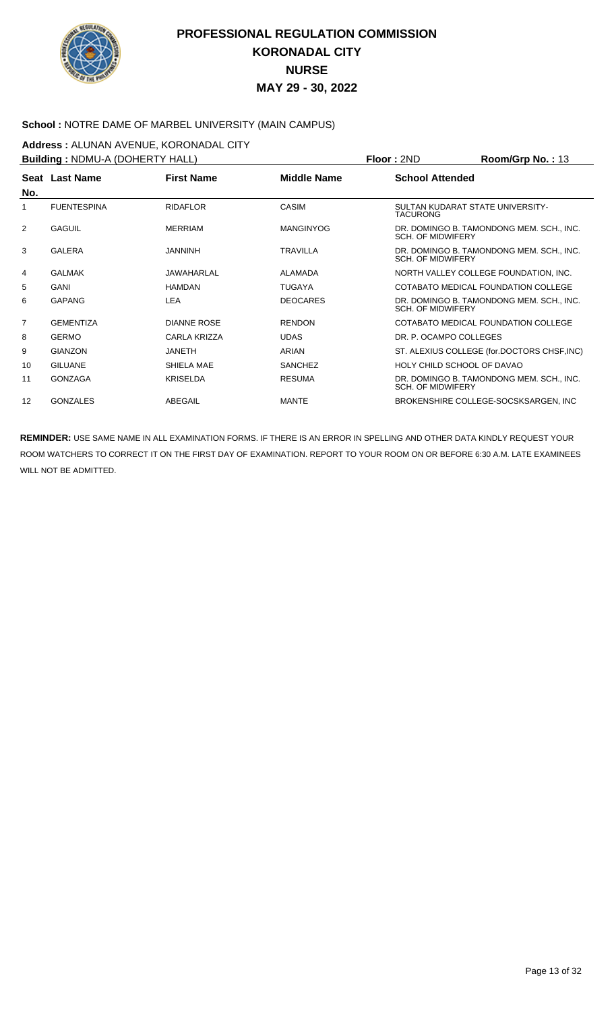

#### School : NOTRE DAME OF MARBEL UNIVERSITY (MAIN CAMPUS)

**Address : ALUNAN AVENUE, KORONADAL CITY**<br>**Building : NDMLLA (DOHERTY HALL)** 

| <b>Building: NDMU-A (DOHERTY HALL)</b> |                    |                    |                    | <b>Floor: 2ND</b><br>Room/Grp No.: 13                                |
|----------------------------------------|--------------------|--------------------|--------------------|----------------------------------------------------------------------|
|                                        | Seat Last Name     | <b>First Name</b>  | <b>Middle Name</b> | <b>School Attended</b>                                               |
| No.                                    |                    |                    |                    |                                                                      |
|                                        | <b>FUENTESPINA</b> | <b>RIDAFLOR</b>    | <b>CASIM</b>       | SULTAN KUDARAT STATE UNIVERSITY-<br><b>TACURONG</b>                  |
| 2                                      | <b>GAGUIL</b>      | <b>MERRIAM</b>     | <b>MANGINYOG</b>   | DR. DOMINGO B. TAMONDONG MEM. SCH., INC.<br><b>SCH. OF MIDWIFERY</b> |
| 3                                      | <b>GALERA</b>      | <b>JANNINH</b>     | <b>TRAVILLA</b>    | DR. DOMINGO B. TAMONDONG MEM. SCH., INC.<br><b>SCH. OF MIDWIFERY</b> |
| 4                                      | <b>GALMAK</b>      | JAWAHARLAL         | ALAMADA            | NORTH VALLEY COLLEGE FOUNDATION, INC.                                |
| 5                                      | GANI               | <b>HAMDAN</b>      | <b>TUGAYA</b>      | COTABATO MEDICAL FOUNDATION COLLEGE                                  |
| 6                                      | <b>GAPANG</b>      | LEA                | <b>DEOCARES</b>    | DR. DOMINGO B. TAMONDONG MEM. SCH., INC.<br><b>SCH. OF MIDWIFERY</b> |
| $\overline{7}$                         | <b>GEMENTIZA</b>   | <b>DIANNE ROSE</b> | <b>RENDON</b>      | COTABATO MEDICAL FOUNDATION COLLEGE                                  |
| 8                                      | <b>GERMO</b>       | CARLA KRIZZA       | <b>UDAS</b>        | DR. P. OCAMPO COLLEGES                                               |
| 9                                      | <b>GIANZON</b>     | <b>JANETH</b>      | ARIAN              | ST. ALEXIUS COLLEGE (for.DOCTORS CHSF, INC)                          |
| 10                                     | <b>GILUANE</b>     | SHIELA MAE         | <b>SANCHEZ</b>     | HOLY CHILD SCHOOL OF DAVAO                                           |
| 11                                     | GONZAGA            | <b>KRISELDA</b>    | <b>RESUMA</b>      | DR. DOMINGO B. TAMONDONG MEM. SCH., INC.<br><b>SCH. OF MIDWIFERY</b> |
| 12                                     | <b>GONZALES</b>    | ABEGAIL            | <b>MANTE</b>       | BROKENSHIRE COLLEGE-SOCSKSARGEN. INC                                 |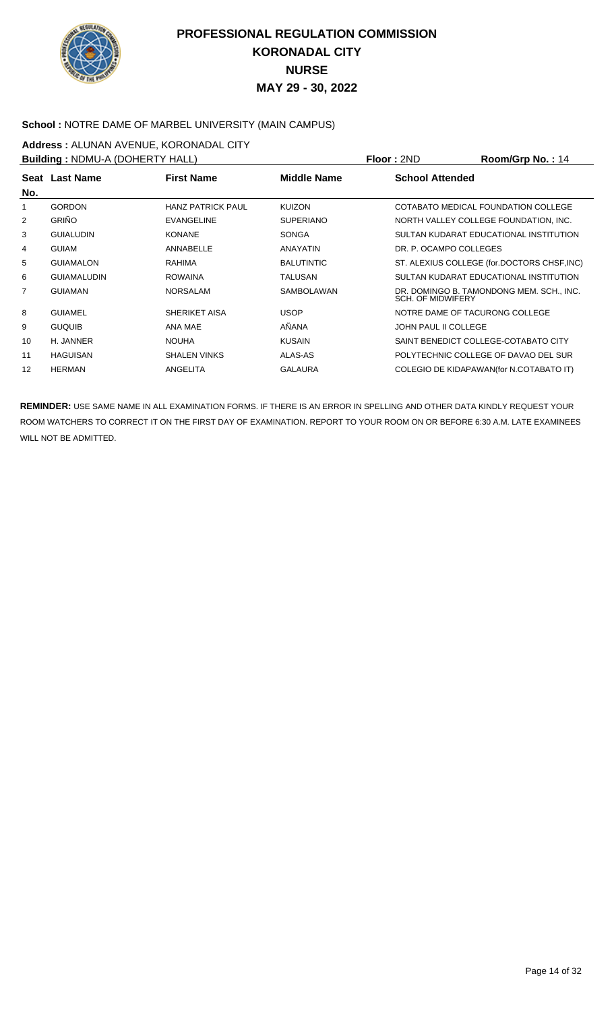

### **School :** NOTRE DAME OF MARBEL UNIVERSITY (MAIN CAMPUS)

**Address :** ALUNAN AVENUE, KORONADAL CITY

| <b>Building: NDMU-A (DOHERTY HALL)</b> |                    |                          |                    | <b>Floor: 2ND</b>              | Room/Grp No.: 14                            |
|----------------------------------------|--------------------|--------------------------|--------------------|--------------------------------|---------------------------------------------|
| No.                                    | Seat Last Name     | <b>First Name</b>        | <b>Middle Name</b> | <b>School Attended</b>         |                                             |
| 1                                      | <b>GORDON</b>      | <b>HANZ PATRICK PAUL</b> | <b>KUIZON</b>      |                                | COTABATO MEDICAL FOUNDATION COLLEGE         |
| 2                                      | <b>GRIÑO</b>       | <b>EVANGELINE</b>        | <b>SUPERIANO</b>   |                                | NORTH VALLEY COLLEGE FOUNDATION. INC.       |
| 3                                      | <b>GUIALUDIN</b>   | <b>KONANE</b>            | <b>SONGA</b>       |                                | SULTAN KUDARAT EDUCATIONAL INSTITUTION      |
| 4                                      | <b>GUIAM</b>       | ANNABELLE                | ANAYATIN           | DR. P. OCAMPO COLLEGES         |                                             |
| 5                                      | <b>GUIAMALON</b>   | <b>RAHIMA</b>            | <b>BALUTINTIC</b>  |                                | ST. ALEXIUS COLLEGE (for.DOCTORS CHSF, INC) |
| 6                                      | <b>GUIAMALUDIN</b> | <b>ROWAINA</b>           | <b>TALUSAN</b>     |                                | SULTAN KUDARAT EDUCATIONAL INSTITUTION      |
| 7                                      | <b>GUIAMAN</b>     | <b>NORSALAM</b>          | <b>SAMBOLAWAN</b>  | <b>SCH. OF MIDWIFERY</b>       | DR. DOMINGO B. TAMONDONG MEM. SCH., INC.    |
| 8                                      | <b>GUIAMEL</b>     | <b>SHERIKET AISA</b>     | <b>USOP</b>        | NOTRE DAME OF TACURONG COLLEGE |                                             |
| 9                                      | <b>GUQUIB</b>      | ANA MAE                  | AÑANA              | JOHN PAUL II COLLEGE           |                                             |
| 10                                     | H. JANNER          | <b>NOUHA</b>             | <b>KUSAIN</b>      |                                | SAINT BENEDICT COLLEGE-COTABATO CITY        |
| 11                                     | <b>HAGUISAN</b>    | <b>SHALEN VINKS</b>      | ALAS-AS            |                                | POLYTECHNIC COLLEGE OF DAVAO DEL SUR        |
| 12                                     | <b>HERMAN</b>      | ANGELITA                 | <b>GALAURA</b>     |                                | COLEGIO DE KIDAPAWAN(for N.COTABATO IT)     |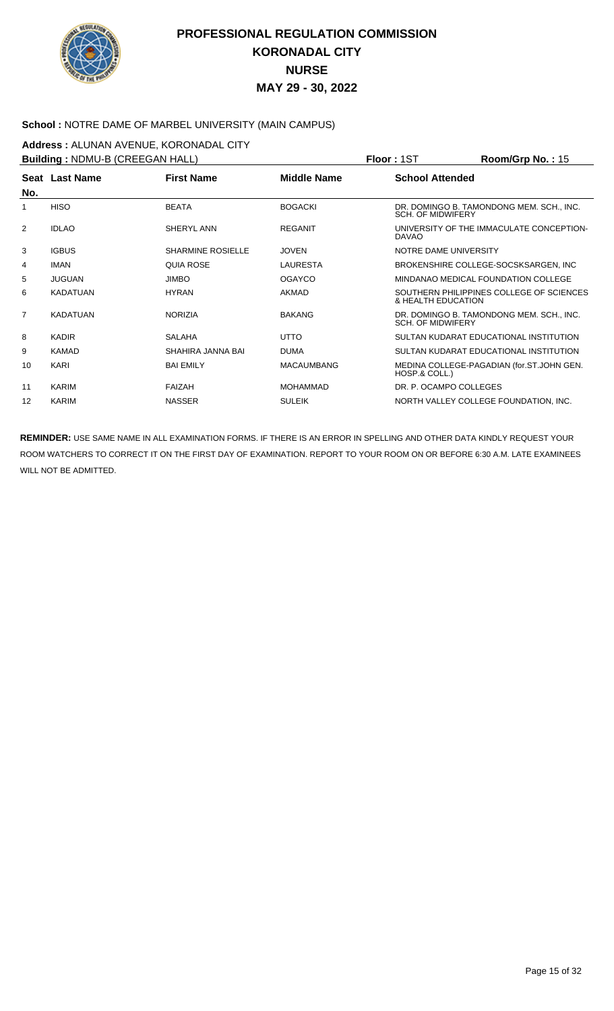

#### School : NOTRE DAME OF MARBEL UNIVERSITY (MAIN CAMPUS)

**Address : ALUNAN AVENUE, KORONADAL CITY**<br>**Building : NDMLLB (CREEGAN HALL)** 

| <b>Building: NDMU-B (CREEGAN HALL)</b> |                       |                          |                    | Room/Grp No.: 15<br><b>Floor: 1ST</b>                                |
|----------------------------------------|-----------------------|--------------------------|--------------------|----------------------------------------------------------------------|
|                                        | <b>Seat Last Name</b> | <b>First Name</b>        | <b>Middle Name</b> | <b>School Attended</b>                                               |
| No.                                    |                       |                          |                    |                                                                      |
| 1                                      | <b>HISO</b>           | <b>BEATA</b>             | <b>BOGACKI</b>     | DR. DOMINGO B. TAMONDONG MEM. SCH., INC.<br><b>SCH. OF MIDWIFERY</b> |
| 2                                      | <b>IDLAO</b>          | SHERYL ANN               | <b>REGANIT</b>     | UNIVERSITY OF THE IMMACULATE CONCEPTION-<br><b>DAVAO</b>             |
| 3                                      | <b>IGBUS</b>          | <b>SHARMINE ROSIELLE</b> | <b>JOVEN</b>       | NOTRE DAME UNIVERSITY                                                |
| 4                                      | <b>IMAN</b>           | <b>QUIA ROSE</b>         | LAURESTA           | BROKENSHIRE COLLEGE-SOCSKSARGEN, INC.                                |
| 5                                      | <b>JUGUAN</b>         | <b>JIMBO</b>             | <b>OGAYCO</b>      | MINDANAO MEDICAL FOUNDATION COLLEGE                                  |
| 6                                      | KADATUAN              | <b>HYRAN</b>             | <b>AKMAD</b>       | SOUTHERN PHILIPPINES COLLEGE OF SCIENCES<br>& HEALTH EDUCATION       |
| $\overline{7}$                         | KADATUAN              | <b>NORIZIA</b>           | <b>BAKANG</b>      | DR. DOMINGO B. TAMONDONG MEM. SCH., INC.<br><b>SCH. OF MIDWIFERY</b> |
| 8                                      | <b>KADIR</b>          | <b>SALAHA</b>            | <b>UTTO</b>        | SULTAN KUDARAT EDUCATIONAL INSTITUTION                               |
| 9                                      | <b>KAMAD</b>          | SHAHIRA JANNA BAI        | <b>DUMA</b>        | SULTAN KUDARAT EDUCATIONAL INSTITUTION                               |
| 10                                     | KARI                  | <b>BAI EMILY</b>         | <b>MACAUMBANG</b>  | MEDINA COLLEGE-PAGADIAN (for.ST.JOHN GEN.<br>HOSP.& COLL.)           |
| 11                                     | KARIM                 | FAIZAH                   | <b>MOHAMMAD</b>    | DR. P. OCAMPO COLLEGES                                               |
| 12                                     | <b>KARIM</b>          | <b>NASSER</b>            | <b>SULEIK</b>      | NORTH VALLEY COLLEGE FOUNDATION, INC.                                |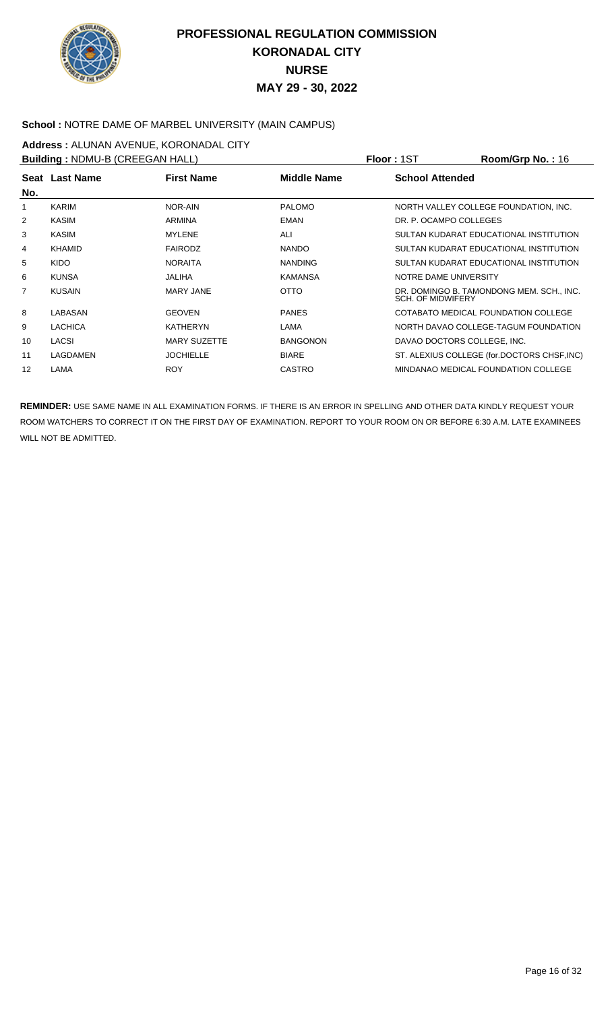

#### School : NOTRE DAME OF MARBEL UNIVERSITY (MAIN CAMPUS)

**Address :** ALUNAN AVENUE, KORONADAL CITY

| <b>Building: NDMU-B (CREEGAN HALL)</b> |                |                     |                 | <b>Floor: 1ST</b>           | Room/Grp No.: 16                            |
|----------------------------------------|----------------|---------------------|-----------------|-----------------------------|---------------------------------------------|
| No.                                    | Seat Last Name | <b>First Name</b>   | Middle Name     | <b>School Attended</b>      |                                             |
|                                        | <b>KARIM</b>   | NOR-AIN             | <b>PALOMO</b>   |                             | NORTH VALLEY COLLEGE FOUNDATION, INC.       |
| 2                                      | KASIM          | ARMINA              | <b>EMAN</b>     | DR. P. OCAMPO COLLEGES      |                                             |
| 3                                      | KASIM          | <b>MYLENE</b>       | ALI             |                             | SULTAN KUDARAT EDUCATIONAL INSTITUTION      |
| 4                                      | <b>KHAMID</b>  | <b>FAIRODZ</b>      | <b>NANDO</b>    |                             | SULTAN KUDARAT EDUCATIONAL INSTITUTION      |
| 5                                      | <b>KIDO</b>    | <b>NORAITA</b>      | <b>NANDING</b>  |                             | SULTAN KUDARAT EDUCATIONAL INSTITUTION      |
| 6                                      | <b>KUNSA</b>   | JALIHA              | <b>KAMANSA</b>  | NOTRE DAME UNIVERSITY       |                                             |
| 7                                      | <b>KUSAIN</b>  | <b>MARY JANE</b>    | <b>OTTO</b>     | SCH. OF MIDWIFERY           | DR. DOMINGO B. TAMONDONG MEM. SCH., INC.    |
| 8                                      | LABASAN        | <b>GEOVEN</b>       | <b>PANES</b>    |                             | COTABATO MEDICAL FOUNDATION COLLEGE         |
| 9                                      | <b>LACHICA</b> | <b>KATHERYN</b>     | LAMA            |                             | NORTH DAVAO COLLEGE-TAGUM FOUNDATION        |
| 10                                     | <b>LACSI</b>   | <b>MARY SUZETTE</b> | <b>BANGONON</b> | DAVAO DOCTORS COLLEGE, INC. |                                             |
| 11                                     | LAGDAMEN       | <b>JOCHIELLE</b>    | <b>BIARE</b>    |                             | ST. ALEXIUS COLLEGE (for.DOCTORS CHSF, INC) |
| 12                                     | LAMA           | <b>ROY</b>          | <b>CASTRO</b>   |                             | MINDANAO MEDICAL FOUNDATION COLLEGE         |
|                                        |                |                     |                 |                             |                                             |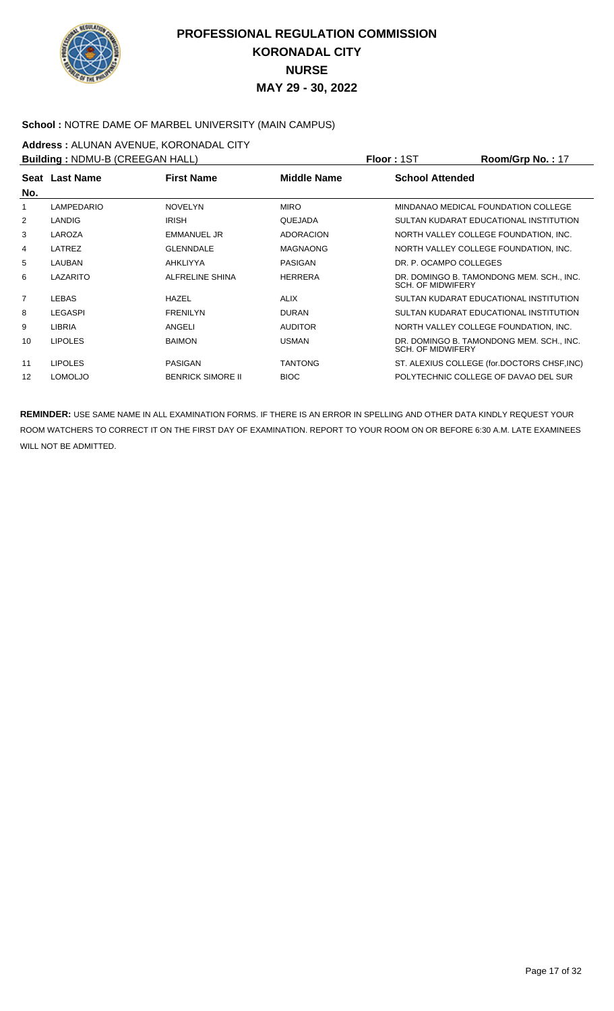

### **School :** NOTRE DAME OF MARBEL UNIVERSITY (MAIN CAMPUS)

**Address :** ALUNAN AVENUE, KORONADAL CITY

| <b>Building: NDMU-B (CREEGAN HALL)</b> |                |                          |                  | <b>Floor: 1ST</b>        | Room/Grp No.: 17                            |
|----------------------------------------|----------------|--------------------------|------------------|--------------------------|---------------------------------------------|
| No.                                    | Seat Last Name | <b>First Name</b>        | Middle Name      | <b>School Attended</b>   |                                             |
|                                        | LAMPEDARIO     | <b>NOVELYN</b>           | <b>MIRO</b>      |                          | MINDANAO MEDICAL FOUNDATION COLLEGE         |
| 2                                      | <b>LANDIG</b>  | <b>IRISH</b>             | QUEJADA          |                          | SULTAN KUDARAT EDUCATIONAL INSTITUTION      |
| 3                                      | LAROZA         | <b>EMMANUEL JR</b>       | <b>ADORACION</b> |                          | NORTH VALLEY COLLEGE FOUNDATION, INC.       |
| 4                                      | LATREZ         | <b>GLENNDALE</b>         | <b>MAGNAONG</b>  |                          | NORTH VALLEY COLLEGE FOUNDATION, INC.       |
| 5                                      | LAUBAN         | AHKLIYYA                 | <b>PASIGAN</b>   | DR. P. OCAMPO COLLEGES   |                                             |
| 6                                      | LAZARITO       | ALFRELINE SHINA          | <b>HERRERA</b>   | <b>SCH. OF MIDWIFERY</b> | DR. DOMINGO B. TAMONDONG MEM. SCH., INC.    |
| $\overline{7}$                         | LEBAS          | HAZEL                    | <b>ALIX</b>      |                          | SULTAN KUDARAT EDUCATIONAL INSTITUTION      |
| 8                                      | <b>LEGASPI</b> | <b>FRENILYN</b>          | <b>DURAN</b>     |                          | SULTAN KUDARAT EDUCATIONAL INSTITUTION      |
| 9                                      | <b>LIBRIA</b>  | ANGELI                   | <b>AUDITOR</b>   |                          | NORTH VALLEY COLLEGE FOUNDATION, INC.       |
| 10                                     | <b>LIPOLES</b> | <b>BAIMON</b>            | <b>USMAN</b>     | <b>SCH. OF MIDWIFERY</b> | DR. DOMINGO B. TAMONDONG MEM. SCH., INC.    |
| 11                                     | <b>LIPOLES</b> | <b>PASIGAN</b>           | <b>TANTONG</b>   |                          | ST. ALEXIUS COLLEGE (for.DOCTORS CHSF, INC) |
| 12                                     | <b>LOMOLJO</b> | <b>BENRICK SIMORE II</b> | <b>BIOC</b>      |                          | POLYTECHNIC COLLEGE OF DAVAO DEL SUR        |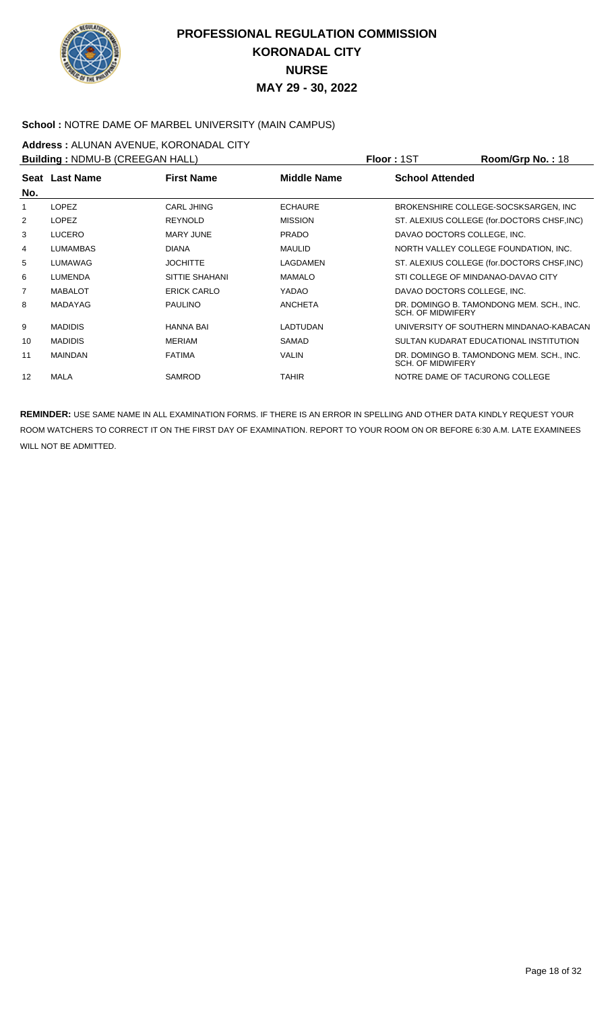

#### School : NOTRE DAME OF MARBEL UNIVERSITY (MAIN CAMPUS)

**Address :** ALUNAN AVENUE, KORONADAL CITY

| <b>Building: NDMU-B (CREEGAN HALL)</b> |                 |                    |                    | <b>Floor: 1ST</b>                  | Room/Grp No.: 18                            |
|----------------------------------------|-----------------|--------------------|--------------------|------------------------------------|---------------------------------------------|
| No.                                    | Seat Last Name  | <b>First Name</b>  | <b>Middle Name</b> | <b>School Attended</b>             |                                             |
|                                        | <b>LOPEZ</b>    | CARL JHING         | <b>ECHAURE</b>     |                                    | BROKENSHIRE COLLEGE-SOCSKSARGEN, INC        |
| 2                                      | <b>LOPEZ</b>    | <b>REYNOLD</b>     | <b>MISSION</b>     |                                    | ST. ALEXIUS COLLEGE (for.DOCTORS CHSF, INC) |
| 3                                      | <b>LUCERO</b>   | <b>MARY JUNE</b>   | <b>PRADO</b>       | DAVAO DOCTORS COLLEGE, INC.        |                                             |
| 4                                      | <b>LUMAMBAS</b> | <b>DIANA</b>       | <b>MAULID</b>      |                                    | NORTH VALLEY COLLEGE FOUNDATION, INC.       |
| 5                                      | LUMAWAG         | <b>JOCHITTE</b>    | LAGDAMEN           |                                    | ST. ALEXIUS COLLEGE (for.DOCTORS CHSF, INC) |
| 6                                      | <b>LUMENDA</b>  | SITTIE SHAHANI     | <b>MAMALO</b>      | STI COLLEGE OF MINDANAO-DAVAO CITY |                                             |
| 7                                      | <b>MABALOT</b>  | <b>ERICK CARLO</b> | YADAO              | DAVAO DOCTORS COLLEGE, INC.        |                                             |
| 8                                      | <b>MADAYAG</b>  | <b>PAULINO</b>     | <b>ANCHETA</b>     | <b>SCH. OF MIDWIFERY</b>           | DR. DOMINGO B. TAMONDONG MEM. SCH., INC.    |
| 9                                      | <b>MADIDIS</b>  | <b>HANNA BAI</b>   | LADTUDAN           |                                    | UNIVERSITY OF SOUTHERN MINDANAO-KABACAN     |
| 10                                     | <b>MADIDIS</b>  | <b>MERIAM</b>      | SAMAD              |                                    | SULTAN KUDARAT EDUCATIONAL INSTITUTION      |
| 11                                     | <b>MAINDAN</b>  | <b>FATIMA</b>      | <b>VALIN</b>       | <b>SCH. OF MIDWIFERY</b>           | DR. DOMINGO B. TAMONDONG MEM. SCH., INC.    |
| 12                                     | <b>MALA</b>     | <b>SAMROD</b>      | <b>TAHIR</b>       | NOTRE DAME OF TACURONG COLLEGE     |                                             |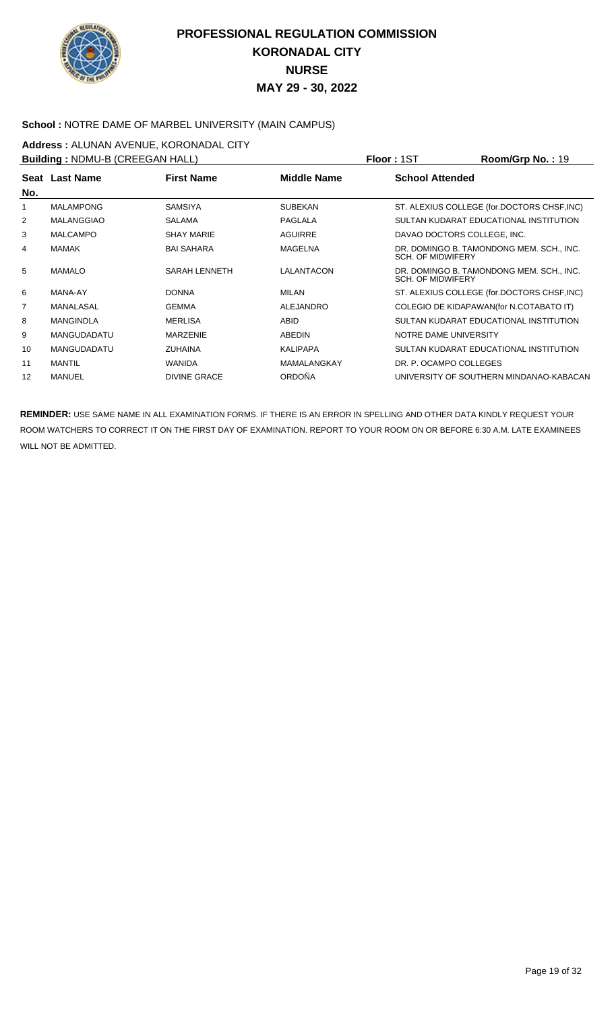

### **School :** NOTRE DAME OF MARBEL UNIVERSITY (MAIN CAMPUS)

# **Address : ALUNAN AVENUE, KORONADAL CITY**<br>**Building : NDMLLB (CREEGAN HALL)**

| <b>Building: NDMU-B (CREEGAN HALL)</b> |                    |                      |                    | <b>Floor: 1ST</b>        | Room/Grp No.: 19                            |
|----------------------------------------|--------------------|----------------------|--------------------|--------------------------|---------------------------------------------|
|                                        | Seat Last Name     | <b>First Name</b>    | <b>Middle Name</b> | <b>School Attended</b>   |                                             |
| No.                                    | <b>MALAMPONG</b>   | <b>SAMSIYA</b>       | <b>SUBEKAN</b>     |                          | ST. ALEXIUS COLLEGE (for.DOCTORS CHSF, INC) |
| 2                                      | MALANGGIAO         | <b>SALAMA</b>        | PAGLALA            |                          | SULTAN KUDARAT EDUCATIONAL INSTITUTION      |
| 3                                      | <b>MALCAMPO</b>    | <b>SHAY MARIE</b>    | <b>AGUIRRE</b>     |                          | DAVAO DOCTORS COLLEGE, INC.                 |
| 4                                      | <b>MAMAK</b>       | <b>BAI SAHARA</b>    | <b>MAGELNA</b>     | <b>SCH. OF MIDWIFERY</b> | DR. DOMINGO B. TAMONDONG MEM. SCH., INC.    |
| 5                                      | <b>MAMALO</b>      | <b>SARAH LENNETH</b> | LALANTACON         | <b>SCH. OF MIDWIFERY</b> | DR. DOMINGO B. TAMONDONG MEM. SCH., INC.    |
| 6                                      | MANA-AY            | <b>DONNA</b>         | MILAN              |                          | ST. ALEXIUS COLLEGE (for.DOCTORS CHSF, INC) |
| $\overline{7}$                         | MANALASAL          | <b>GEMMA</b>         | <b>ALEJANDRO</b>   |                          | COLEGIO DE KIDAPAWAN(for N.COTABATO IT)     |
| 8                                      | <b>MANGINDLA</b>   | <b>MERLISA</b>       | <b>ABID</b>        |                          | SULTAN KUDARAT EDUCATIONAL INSTITUTION      |
| 9                                      | <b>MANGUDADATU</b> | <b>MARZENIE</b>      | <b>ABEDIN</b>      | NOTRE DAME UNIVERSITY    |                                             |
| 10                                     | <b>MANGUDADATU</b> | <b>ZUHAINA</b>       | <b>KALIPAPA</b>    |                          | SULTAN KUDARAT EDUCATIONAL INSTITUTION      |
| 11                                     | <b>MANTIL</b>      | <b>WANIDA</b>        | <b>MAMALANGKAY</b> | DR. P. OCAMPO COLLEGES   |                                             |
| 12                                     | <b>MANUEL</b>      | <b>DIVINE GRACE</b>  | <b>ORDOÑA</b>      |                          | UNIVERSITY OF SOUTHERN MINDANAO-KABACAN     |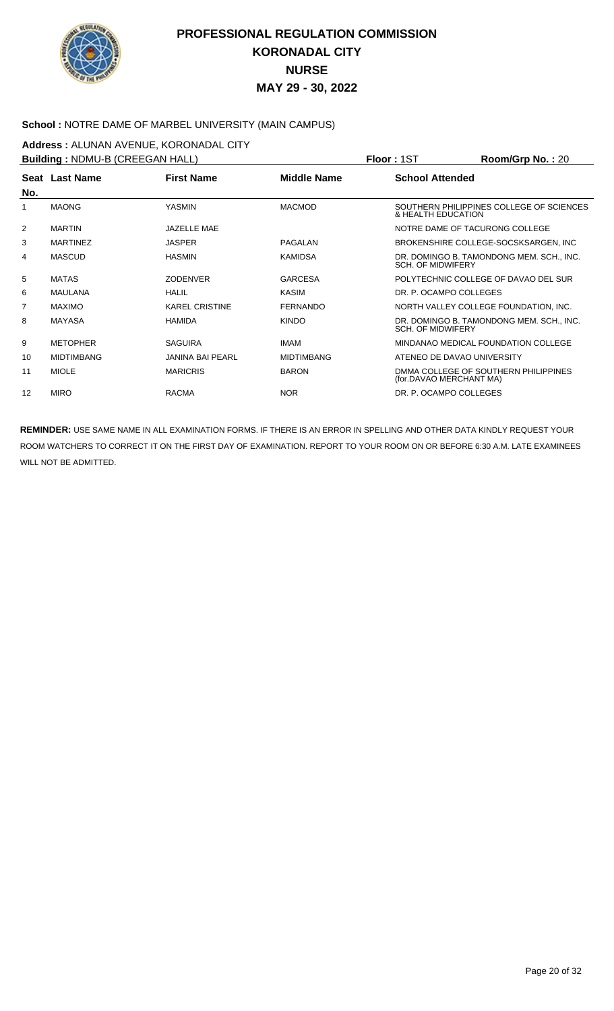

#### School : NOTRE DAME OF MARBEL UNIVERSITY (MAIN CAMPUS)

**Address :** ALUNAN AVENUE, KORONADAL CITY

| <b>Building: NDMU-B (CREEGAN HALL)</b> |                   |                         |                    | <b>Floor: 1ST</b>              | $Room/Grp$ No.: 20                       |
|----------------------------------------|-------------------|-------------------------|--------------------|--------------------------------|------------------------------------------|
|                                        | Seat Last Name    | <b>First Name</b>       | <b>Middle Name</b> | <b>School Attended</b>         |                                          |
| No.                                    | <b>MAONG</b>      | <b>YASMIN</b>           | <b>MACMOD</b>      | & HEALTH EDUCATION             | SOUTHERN PHILIPPINES COLLEGE OF SCIENCES |
| 2                                      | <b>MARTIN</b>     | JAZELLE MAE             |                    | NOTRE DAME OF TACURONG COLLEGE |                                          |
| 3                                      | <b>MARTINEZ</b>   | <b>JASPER</b>           | PAGALAN            |                                | BROKENSHIRE COLLEGE-SOCSKSARGEN, INC     |
| 4                                      | <b>MASCUD</b>     | <b>HASMIN</b>           | <b>KAMIDSA</b>     | <b>SCH. OF MIDWIFERY</b>       | DR. DOMINGO B. TAMONDONG MEM. SCH., INC. |
| 5                                      | <b>MATAS</b>      | <b>ZODENVER</b>         | <b>GARCESA</b>     |                                | POLYTECHNIC COLLEGE OF DAVAO DEL SUR     |
| 6                                      | MAULANA           | <b>HALIL</b>            | <b>KASIM</b>       | DR. P. OCAMPO COLLEGES         |                                          |
| 7                                      | <b>MAXIMO</b>     | <b>KAREL CRISTINE</b>   | <b>FERNANDO</b>    |                                | NORTH VALLEY COLLEGE FOUNDATION, INC.    |
| 8                                      | MAYASA            | <b>HAMIDA</b>           | <b>KINDO</b>       | SCH. OF MIDWIFERY              | DR. DOMINGO B. TAMONDONG MEM. SCH., INC. |
| 9                                      | <b>METOPHER</b>   | <b>SAGUIRA</b>          | <b>IMAM</b>        |                                | MINDANAO MEDICAL FOUNDATION COLLEGE      |
| 10                                     | <b>MIDTIMBANG</b> | <b>JANINA BAI PEARL</b> | <b>MIDTIMBANG</b>  | ATENEO DE DAVAO UNIVERSITY     |                                          |
| 11                                     | <b>MIOLE</b>      | <b>MARICRIS</b>         | <b>BARON</b>       | (for.DAVAO MERCHANT MA)        | DMMA COLLEGE OF SOUTHERN PHILIPPINES     |
| 12                                     | <b>MIRO</b>       | <b>RACMA</b>            | <b>NOR</b>         | DR. P. OCAMPO COLLEGES         |                                          |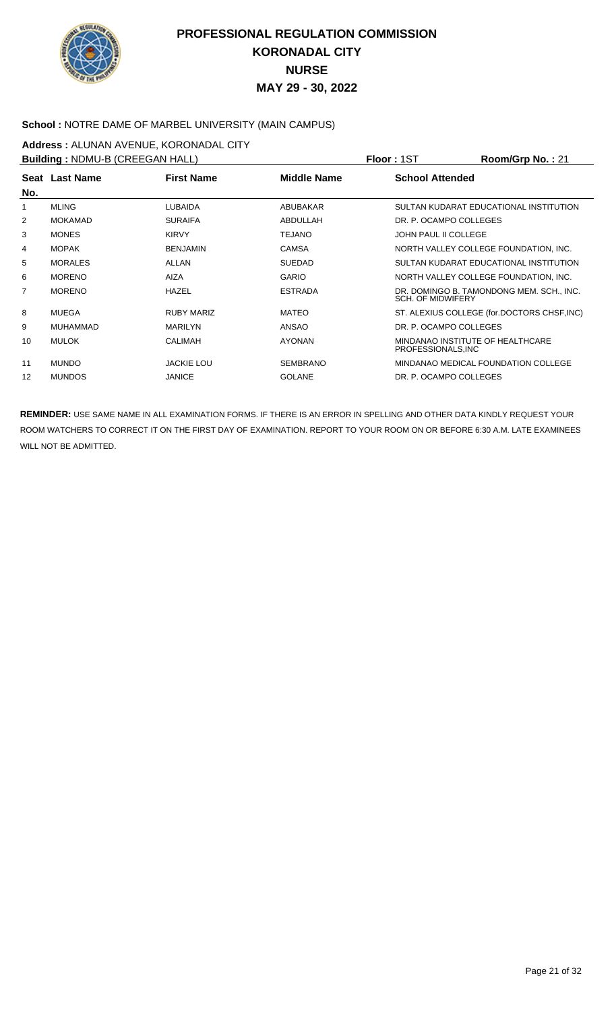

#### School : NOTRE DAME OF MARBEL UNIVERSITY (MAIN CAMPUS)

**Address :** ALUNAN AVENUE, KORONADAL CITY

| <b>Building: NDMU-B (CREEGAN HALL)</b> |                 |                   |                    | <b>Floor: 1ST</b>                                      | Room/Grp No.: 21                            |
|----------------------------------------|-----------------|-------------------|--------------------|--------------------------------------------------------|---------------------------------------------|
| No.                                    | Seat Last Name  | <b>First Name</b> | <b>Middle Name</b> | <b>School Attended</b>                                 |                                             |
|                                        | <b>MLING</b>    | <b>LUBAIDA</b>    | ABUBAKAR           |                                                        | SULTAN KUDARAT EDUCATIONAL INSTITUTION      |
| 2                                      | <b>MOKAMAD</b>  | <b>SURAIFA</b>    | ABDULLAH           | DR. P. OCAMPO COLLEGES                                 |                                             |
| 3                                      | <b>MONES</b>    | <b>KIRVY</b>      | TEJANO             | <b>JOHN PAUL II COLLEGE</b>                            |                                             |
| 4                                      | <b>MOPAK</b>    | <b>BENJAMIN</b>   | <b>CAMSA</b>       |                                                        | NORTH VALLEY COLLEGE FOUNDATION, INC.       |
| 5                                      | <b>MORALES</b>  | ALLAN             | <b>SUEDAD</b>      |                                                        | SULTAN KUDARAT EDUCATIONAL INSTITUTION      |
| 6                                      | <b>MORENO</b>   | <b>AIZA</b>       | <b>GARIO</b>       |                                                        | NORTH VALLEY COLLEGE FOUNDATION, INC.       |
| 7                                      | <b>MORENO</b>   | <b>HAZEL</b>      | <b>ESTRADA</b>     | <b>SCH. OF MIDWIFERY</b>                               | DR. DOMINGO B. TAMONDONG MEM. SCH., INC.    |
| 8                                      | MUEGA           | <b>RUBY MARIZ</b> | <b>MATEO</b>       |                                                        | ST. ALEXIUS COLLEGE (for.DOCTORS CHSF, INC) |
| 9                                      | <b>MUHAMMAD</b> | <b>MARILYN</b>    | ANSAO              | DR. P. OCAMPO COLLEGES                                 |                                             |
| 10                                     | <b>MULOK</b>    | <b>CALIMAH</b>    | <b>AYONAN</b>      | MINDANAO INSTITUTE OF HEALTHCARE<br>PROFESSIONALS, INC |                                             |
| 11                                     | <b>MUNDO</b>    | <b>JACKIE LOU</b> | SEMBRANO           |                                                        | MINDANAO MEDICAL FOUNDATION COLLEGE         |
| 12                                     | <b>MUNDOS</b>   | <b>JANICE</b>     | <b>GOLANE</b>      | DR. P. OCAMPO COLLEGES                                 |                                             |
|                                        |                 |                   |                    |                                                        |                                             |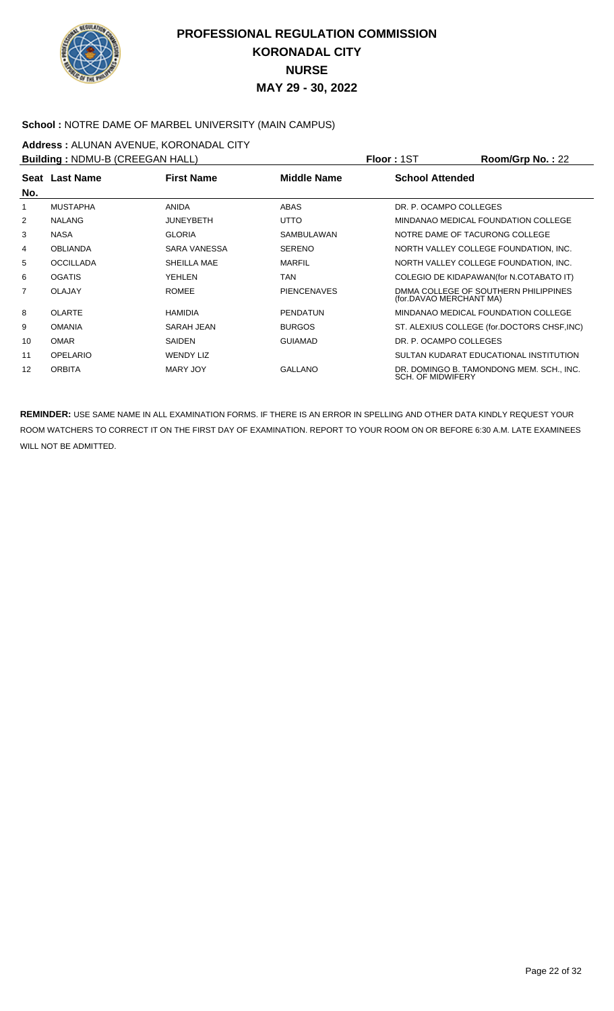

### School : NOTRE DAME OF MARBEL UNIVERSITY (MAIN CAMPUS)

**Address :** ALUNAN AVENUE, KORONADAL CITY

| <b>Building: NDMU-B (CREEGAN HALL)</b> |                  |                   |                    | <b>Floor: 1ST</b>        | Room/Grp No.: 22                            |
|----------------------------------------|------------------|-------------------|--------------------|--------------------------|---------------------------------------------|
|                                        | Seat Last Name   | <b>First Name</b> | <b>Middle Name</b> | <b>School Attended</b>   |                                             |
| No.                                    |                  |                   |                    |                          |                                             |
|                                        | <b>MUSTAPHA</b>  | <b>ANIDA</b>      | ABAS               | DR. P. OCAMPO COLLEGES   |                                             |
| 2                                      | <b>NALANG</b>    | <b>JUNEYBETH</b>  | <b>UTTO</b>        |                          | MINDANAO MEDICAL FOUNDATION COLLEGE         |
| 3                                      | <b>NASA</b>      | <b>GLORIA</b>     | <b>SAMBULAWAN</b>  |                          | NOTRE DAME OF TACURONG COLLEGE              |
| 4                                      | <b>OBLIANDA</b>  | SARA VANESSA      | <b>SERENO</b>      |                          | NORTH VALLEY COLLEGE FOUNDATION, INC.       |
| 5                                      | <b>OCCILLADA</b> | SHEILLA MAE       | <b>MARFIL</b>      |                          | NORTH VALLEY COLLEGE FOUNDATION, INC.       |
| 6                                      | <b>OGATIS</b>    | YEHLEN            | TAN                |                          | COLEGIO DE KIDAPAWAN(for N.COTABATO IT)     |
| $\overline{7}$                         | <b>OLAJAY</b>    | <b>ROMEE</b>      | <b>PIENCENAVES</b> | (for.DAVAO MERCHANT MA)  | DMMA COLLEGE OF SOUTHERN PHILIPPINES        |
| 8                                      | <b>OLARTE</b>    | <b>HAMIDIA</b>    | <b>PENDATUN</b>    |                          | MINDANAO MEDICAL FOUNDATION COLLEGE         |
| 9                                      | <b>OMANIA</b>    | SARAH JEAN        | <b>BURGOS</b>      |                          | ST. ALEXIUS COLLEGE (for.DOCTORS CHSF, INC) |
| 10                                     | <b>OMAR</b>      | <b>SAIDEN</b>     | <b>GUIAMAD</b>     | DR. P. OCAMPO COLLEGES   |                                             |
| 11                                     | <b>OPELARIO</b>  | <b>WENDY LIZ</b>  |                    |                          | SULTAN KUDARAT EDUCATIONAL INSTITUTION      |
| 12                                     | <b>ORBITA</b>    | MARY JOY          | <b>GALLANO</b>     | <b>SCH. OF MIDWIFERY</b> | DR. DOMINGO B. TAMONDONG MEM. SCH., INC.    |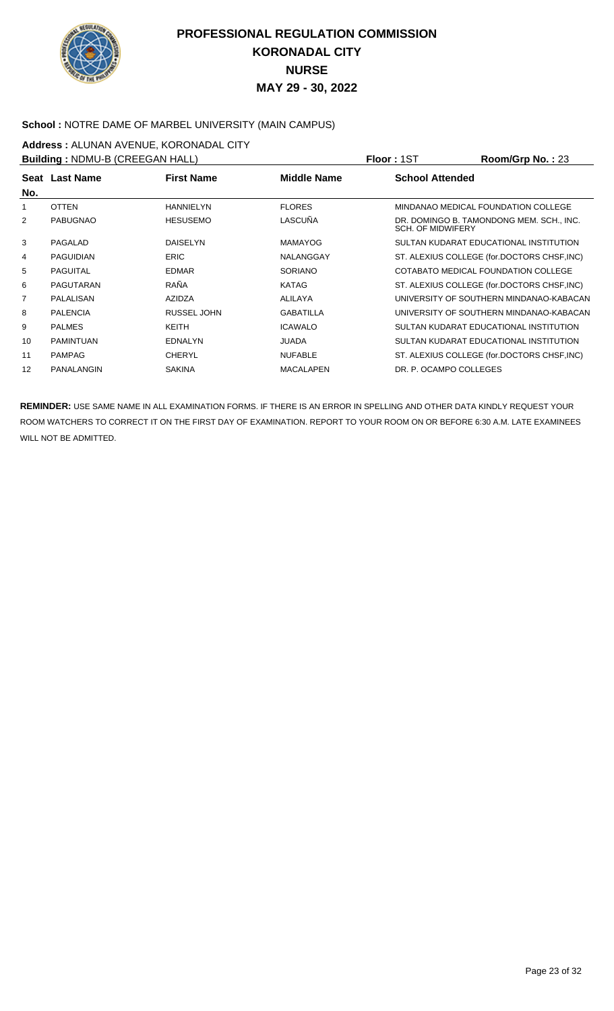

#### School : NOTRE DAME OF MARBEL UNIVERSITY (MAIN CAMPUS)

**Address : ALUNAN AVENUE, KORONADAL CITY**<br>**Building : NDMLLB (CREEGAN HALL)** 

| <b>Building: NDMU-B (CREEGAN HALL)</b> |                   |                    |                  | <b>Floor: 1ST</b>        | Room/Grp No.: 23                            |
|----------------------------------------|-------------------|--------------------|------------------|--------------------------|---------------------------------------------|
| No.                                    | Seat Last Name    | <b>First Name</b>  | Middle Name      | <b>School Attended</b>   |                                             |
|                                        | <b>OTTEN</b>      | <b>HANNIELYN</b>   | <b>FLORES</b>    |                          | MINDANAO MEDICAL FOUNDATION COLLEGE         |
| 2                                      | <b>PABUGNAO</b>   | <b>HESUSEMO</b>    | LASCUÑA          | <b>SCH. OF MIDWIFERY</b> | DR. DOMINGO B. TAMONDONG MEM. SCH., INC.    |
| 3                                      | PAGALAD           | <b>DAISELYN</b>    | MAMAYOG          |                          | SULTAN KUDARAT EDUCATIONAL INSTITUTION      |
| 4                                      | PAGUIDIAN         | <b>ERIC</b>        | NALANGGAY        |                          | ST. ALEXIUS COLLEGE (for.DOCTORS CHSF, INC) |
| 5                                      | <b>PAGUITAL</b>   | <b>EDMAR</b>       | <b>SORIANO</b>   |                          | COTABATO MEDICAL FOUNDATION COLLEGE         |
| 6                                      | PAGUTARAN         | RAÑA               | KATAG            |                          | ST. ALEXIUS COLLEGE (for.DOCTORS CHSF, INC) |
| 7                                      | PALALISAN         | <b>AZIDZA</b>      | ALILAYA          |                          | UNIVERSITY OF SOUTHERN MINDANAO-KABACAN     |
| 8                                      | <b>PALENCIA</b>   | <b>RUSSEL JOHN</b> | <b>GABATILLA</b> |                          | UNIVERSITY OF SOUTHERN MINDANAO-KABACAN     |
| 9                                      | <b>PALMES</b>     | KEITH              | <b>ICAWALO</b>   |                          | SULTAN KUDARAT EDUCATIONAL INSTITUTION      |
| 10                                     | <b>PAMINTUAN</b>  | <b>EDNALYN</b>     | <b>JUADA</b>     |                          | SULTAN KUDARAT EDUCATIONAL INSTITUTION      |
| 11                                     | <b>PAMPAG</b>     | <b>CHERYL</b>      | <b>NUFABLE</b>   |                          | ST. ALEXIUS COLLEGE (for.DOCTORS CHSF, INC) |
| 12                                     | <b>PANALANGIN</b> | <b>SAKINA</b>      | <b>MACALAPEN</b> | DR. P. OCAMPO COLLEGES   |                                             |
|                                        |                   |                    |                  |                          |                                             |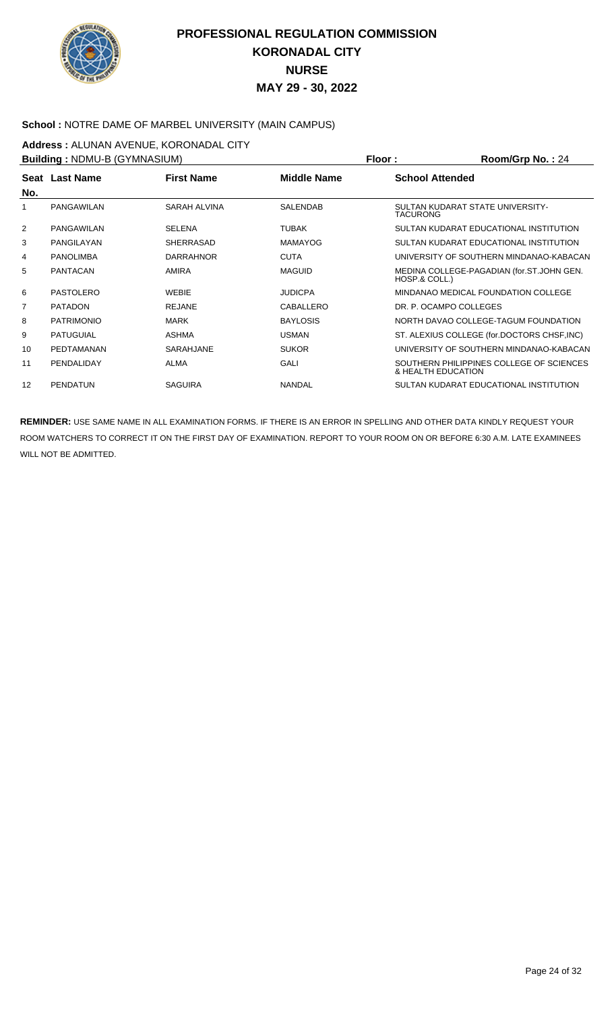

#### **School :** NOTRE DAME OF MARBEL UNIVERSITY (MAIN CAMPUS)

**Address :** ALUNAN AVENUE, KORONADAL CITY

**Building :** NDMU-B (GYMNASIUM) **Floor : Room/Grp No. :** 24

| <b>BUILDING . INDIVID-B (GTIVINASIONI)</b> |                   |                   |                    | FIUUL.                 | RUUIIIUID NU. . Z4                          |
|--------------------------------------------|-------------------|-------------------|--------------------|------------------------|---------------------------------------------|
|                                            | Seat Last Name    | <b>First Name</b> | <b>Middle Name</b> | <b>School Attended</b> |                                             |
| No.                                        |                   |                   |                    |                        |                                             |
|                                            | <b>PANGAWILAN</b> | SARAH ALVINA      | <b>SALENDAB</b>    | <b>TACURONG</b>        | SULTAN KUDARAT STATE UNIVERSITY-            |
| $\overline{2}$                             | PANGAWILAN        | <b>SELENA</b>     | <b>TUBAK</b>       |                        | SULTAN KUDARAT EDUCATIONAL INSTITUTION      |
| 3                                          | PANGILAYAN        | <b>SHERRASAD</b>  | <b>MAMAYOG</b>     |                        | SULTAN KUDARAT EDUCATIONAL INSTITUTION      |
| 4                                          | <b>PANOLIMBA</b>  | <b>DARRAHNOR</b>  | <b>CUTA</b>        |                        | UNIVERSITY OF SOUTHERN MINDANAO-KABACAN     |
| 5                                          | <b>PANTACAN</b>   | AMIRA             | <b>MAGUID</b>      | HOSP.& COLL.)          | MEDINA COLLEGE-PAGADIAN (for.ST.JOHN GEN.   |
| 6                                          | <b>PASTOLERO</b>  | <b>WEBIE</b>      | <b>JUDICPA</b>     |                        | MINDANAO MEDICAL FOUNDATION COLLEGE         |
| 7                                          | <b>PATADON</b>    | <b>REJANE</b>     | CABALLERO          |                        | DR. P. OCAMPO COLLEGES                      |
| 8                                          | <b>PATRIMONIO</b> | MARK              | <b>BAYLOSIS</b>    |                        | NORTH DAVAO COLLEGE-TAGUM FOUNDATION        |
| 9                                          | <b>PATUGUIAL</b>  | ASHMA             | <b>USMAN</b>       |                        | ST. ALEXIUS COLLEGE (for.DOCTORS CHSF, INC) |
| 10                                         | PEDTAMANAN        | SARAHJANE         | <b>SUKOR</b>       |                        | UNIVERSITY OF SOUTHERN MINDANAO-KABACAN     |
| 11                                         | PENDALIDAY        | <b>ALMA</b>       | <b>GALI</b>        | & HEALTH EDUCATION     | SOUTHERN PHILIPPINES COLLEGE OF SCIENCES    |
| 12                                         | <b>PENDATUN</b>   | <b>SAGUIRA</b>    | <b>NANDAL</b>      |                        | SULTAN KUDARAT EDUCATIONAL INSTITUTION      |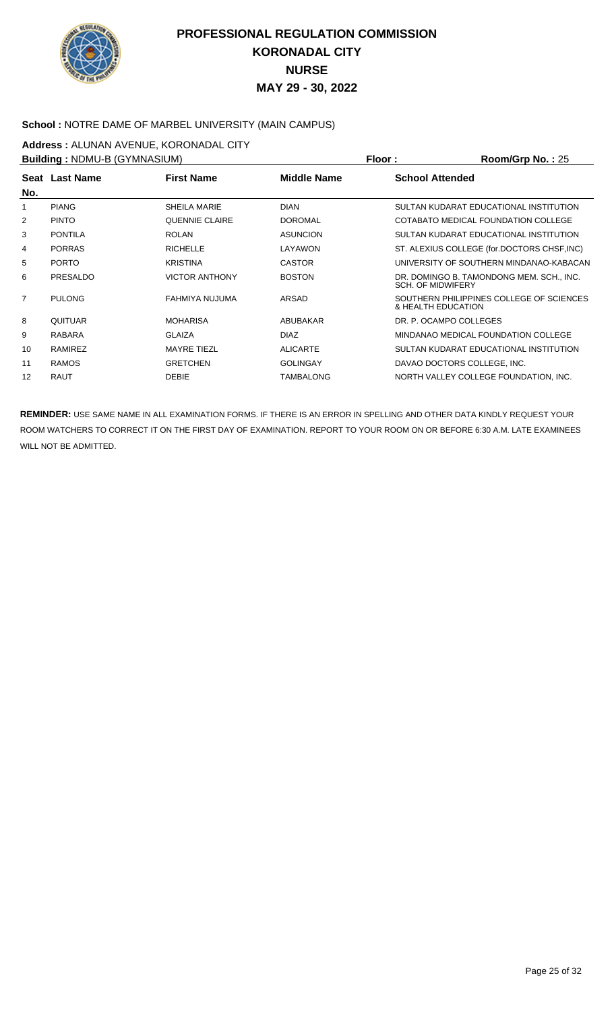

### **School :** NOTRE DAME OF MARBEL UNIVERSITY (MAIN CAMPUS)

**Address :** ALUNAN AVENUE, KORONADAL CITY

**Building :** NDMU-B (GYMNASIUM) **Floor : Room/Grp No. :** 25

| UTING LIST OF LIGHT LIGHT |                |                       |                    | . 1001 L               | 1001110111101.20                            |
|---------------------------|----------------|-----------------------|--------------------|------------------------|---------------------------------------------|
|                           | Seat Last Name | <b>First Name</b>     | <b>Middle Name</b> | <b>School Attended</b> |                                             |
| No.                       |                |                       |                    |                        |                                             |
|                           | <b>PIANG</b>   | SHEILA MARIE          | <b>DIAN</b>        |                        | SULTAN KUDARAT EDUCATIONAL INSTITUTION      |
| 2                         | <b>PINTO</b>   | <b>QUENNIE CLAIRE</b> | <b>DOROMAL</b>     |                        | COTABATO MEDICAL FOUNDATION COLLEGE         |
| 3                         | <b>PONTILA</b> | <b>ROLAN</b>          | <b>ASUNCION</b>    |                        | SULTAN KUDARAT EDUCATIONAL INSTITUTION      |
| 4                         | <b>PORRAS</b>  | <b>RICHELLE</b>       | LAYAWON            |                        | ST. ALEXIUS COLLEGE (for.DOCTORS CHSF, INC) |
| 5                         | <b>PORTO</b>   | <b>KRISTINA</b>       | <b>CASTOR</b>      |                        | UNIVERSITY OF SOUTHERN MINDANAO-KABACAN     |
| 6                         | PRESALDO       | <b>VICTOR ANTHONY</b> | <b>BOSTON</b>      | SCH. OF MIDWIFERY      | DR. DOMINGO B. TAMONDONG MEM. SCH., INC.    |
| $\overline{7}$            | <b>PULONG</b>  | FAHMIYA NUJUMA        | ARSAD              | & HEALTH EDUCATION     | SOUTHERN PHILIPPINES COLLEGE OF SCIENCES    |
| 8                         | QUITUAR        | <b>MOHARISA</b>       | ABUBAKAR           |                        | DR. P. OCAMPO COLLEGES                      |
| 9                         | <b>RABARA</b>  | <b>GLAIZA</b>         | <b>DIAZ</b>        |                        | MINDANAO MEDICAL FOUNDATION COLLEGE         |
| 10                        | RAMIREZ        | <b>MAYRE TIEZL</b>    | <b>ALICARTE</b>    |                        | SULTAN KUDARAT EDUCATIONAL INSTITUTION      |
| 11                        | <b>RAMOS</b>   | <b>GRETCHEN</b>       | <b>GOLINGAY</b>    |                        | DAVAO DOCTORS COLLEGE, INC.                 |
| 12                        | <b>RAUT</b>    | <b>DEBIE</b>          | TAMBALONG          |                        | NORTH VALLEY COLLEGE FOUNDATION, INC.       |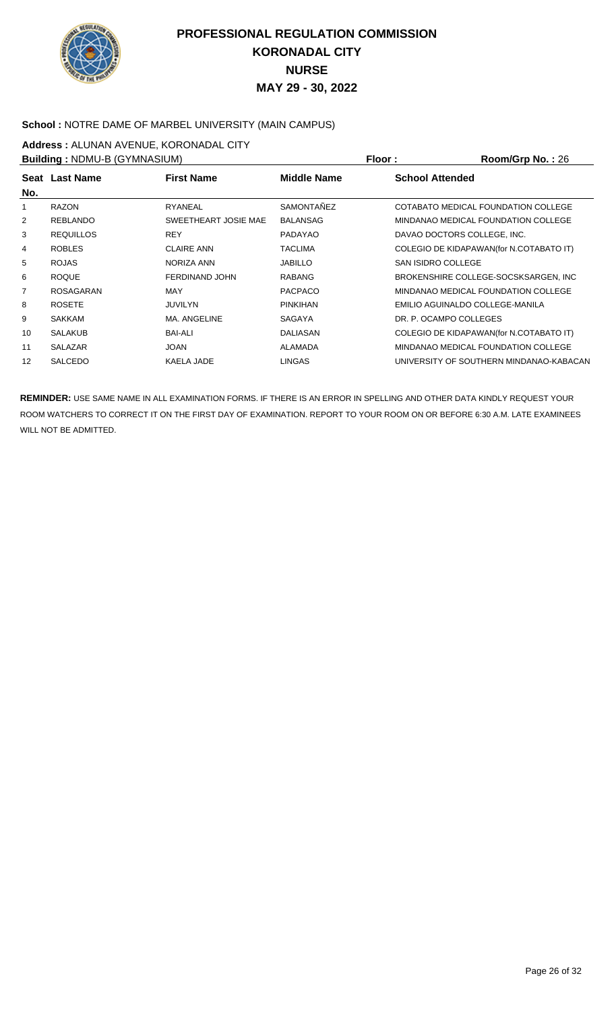

#### **School :** NOTRE DAME OF MARBEL UNIVERSITY (MAIN CAMPUS)

**Address :** ALUNAN AVENUE, KORONADAL CITY

**Building :** NDMU-B (GYMNASIUM) **Floor : Room/Grp No. :** 26 **Seat** Last Name **No. Last Name First Name Middle Name School Attended** 1 RAZON RYANEAL SAMONTAÑEZ COTABATO MEDICAL FOUNDATION COLLEGE 2 REBLANDO SWEETHEART JOSIE MAE BALANSAG MINDANAO MEDICAL FOUNDATION COLLEGE 3 REQUILLOS REY PADAYAO DAVAO DOCTORS COLLEGE, INC. 4 ROBLES CLAIRE ANN TACLIMA COLEGIO DE KIDAPAWAN(for N.COTABATO IT) 5 ROJAS NORIZA ANN JABILLO SAN ISIDRO COLLEGE 6 ROQUE FERDINAND JOHN RABANG BROKENSHIRE COLLEGE-SOCSKSARGEN, INC 7 ROSAGARAN MAY PACPACO MINDANAO MEDICAL FOUNDATION COLLEGE 8 ROSETE JUVILYN PINKIHAN EMILIO AGUINALDO COLLEGE-MANILA 9 SAKKAM MA. ANGELINE SAGAYA DR. P. OCAMPO COLLEGES 10 SALAKUB BAI-ALI BAI-ALI DALIASAN COLEGIO DE KIDAPAWAN(for N.COTABATO IT) 11 SALAZAR JOAN JOAN ALAMADA MINDANAO MEDICAL FOUNDATION COLLEGE 12 SALCEDO KAELA JADE LINGAS UNIVERSITY OF SOUTHERN MINDANAO-KABACAN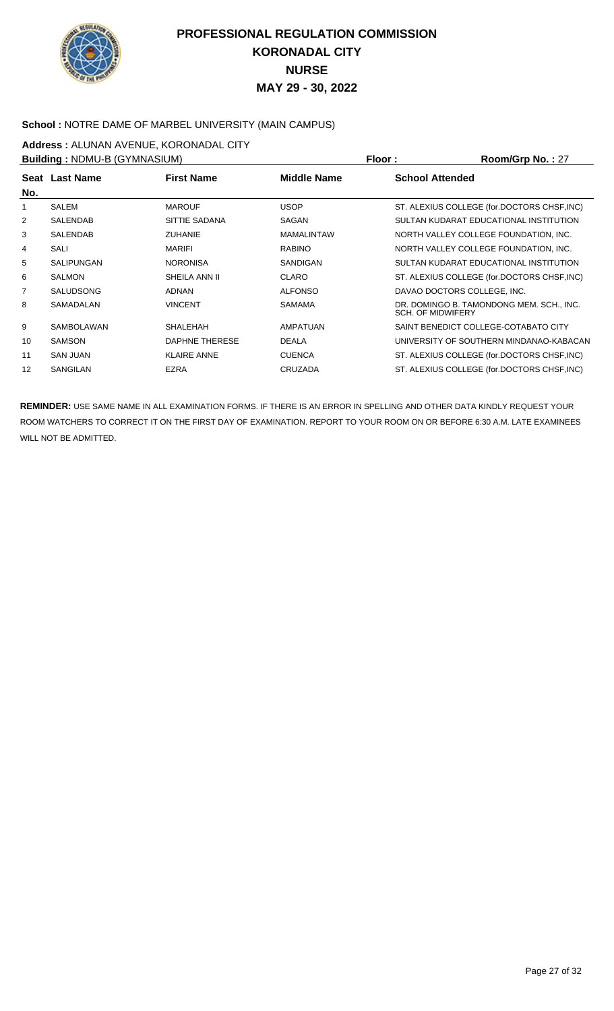

### School : NOTRE DAME OF MARBEL UNIVERSITY (MAIN CAMPUS)

**Address :** ALUNAN AVENUE, KORONADAL CITY

| <b>Building: NDMU-B (GYMNASIUM)</b> |                   |                    |                   | Room/Grp No.: 27<br>Floor:                                    |
|-------------------------------------|-------------------|--------------------|-------------------|---------------------------------------------------------------|
| No.                                 | Seat Last Name    | <b>First Name</b>  | Middle Name       | <b>School Attended</b>                                        |
|                                     | <b>SALEM</b>      | <b>MAROUF</b>      | <b>USOP</b>       | ST. ALEXIUS COLLEGE (for.DOCTORS CHSF, INC)                   |
| 2                                   | <b>SALENDAB</b>   | SITTIE SADANA      | SAGAN             | SULTAN KUDARAT EDUCATIONAL INSTITUTION                        |
| 3                                   | <b>SALENDAB</b>   | <b>ZUHANIE</b>     | <b>MAMALINTAW</b> | NORTH VALLEY COLLEGE FOUNDATION, INC.                         |
| 4                                   | SALI              | <b>MARIFI</b>      | <b>RABINO</b>     | NORTH VALLEY COLLEGE FOUNDATION, INC.                         |
| 5                                   | <b>SALIPUNGAN</b> | <b>NORONISA</b>    | SANDIGAN          | SULTAN KUDARAT EDUCATIONAL INSTITUTION                        |
| 6                                   | <b>SALMON</b>     | SHEILA ANN II      | <b>CLARO</b>      | ST. ALEXIUS COLLEGE (for.DOCTORS CHSF, INC)                   |
| 7                                   | <b>SALUDSONG</b>  | <b>ADNAN</b>       | <b>ALFONSO</b>    | DAVAO DOCTORS COLLEGE, INC.                                   |
| 8                                   | SAMADALAN         | <b>VINCENT</b>     | <b>SAMAMA</b>     | DR. DOMINGO B. TAMONDONG MEM. SCH., INC.<br>SCH. OF MIDWIFERY |
| 9                                   | <b>SAMBOLAWAN</b> | <b>SHALEHAH</b>    | AMPATUAN          | SAINT BENEDICT COLLEGE-COTABATO CITY                          |
| 10                                  | <b>SAMSON</b>     | DAPHNE THERESE     | <b>DEALA</b>      | UNIVERSITY OF SOUTHERN MINDANAO-KABACAN                       |
| 11                                  | <b>SAN JUAN</b>   | <b>KLAIRE ANNE</b> | <b>CUENCA</b>     | ST. ALEXIUS COLLEGE (for.DOCTORS CHSF, INC)                   |
| 12                                  | <b>SANGILAN</b>   | <b>EZRA</b>        | <b>CRUZADA</b>    | ST. ALEXIUS COLLEGE (for.DOCTORS CHSF, INC)                   |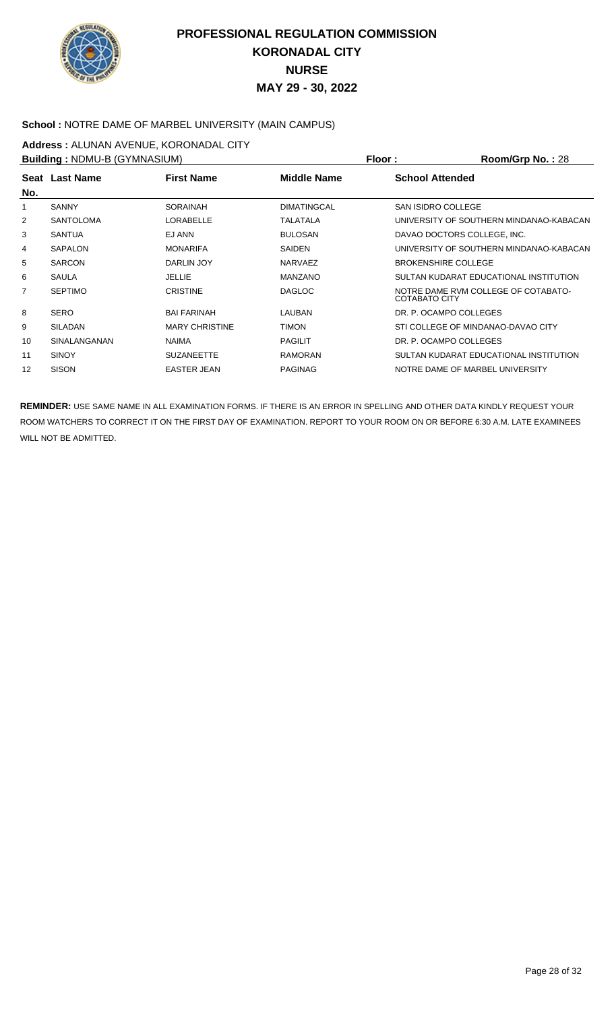

#### **School :** NOTRE DAME OF MARBEL UNIVERSITY (MAIN CAMPUS)

**Address : ALUNAN AVENUE, KORONADAL CITY**<br>**Building : NDMLLB (CYMNASILIM)** 

| Building: NDMU-B (GYMNASIUM) |                  |                       |                    | Floor:<br>Room/Grp No.: 28                                  |
|------------------------------|------------------|-----------------------|--------------------|-------------------------------------------------------------|
| No.                          | Seat Last Name   | <b>First Name</b>     | Middle Name        | <b>School Attended</b>                                      |
|                              | <b>SANNY</b>     | <b>SORAINAH</b>       | <b>DIMATINGCAL</b> | <b>SAN ISIDRO COLLEGE</b>                                   |
| 2                            | <b>SANTOLOMA</b> | <b>LORABELLE</b>      | TALATALA           | UNIVERSITY OF SOUTHERN MINDANAO-KABACAN                     |
| 3                            | <b>SANTUA</b>    | EJ ANN                | <b>BULOSAN</b>     | DAVAO DOCTORS COLLEGE, INC.                                 |
| 4                            | <b>SAPALON</b>   | <b>MONARIFA</b>       | <b>SAIDEN</b>      | UNIVERSITY OF SOUTHERN MINDANAO-KABACAN                     |
| 5                            | <b>SARCON</b>    | DARLIN JOY            | <b>NARVAEZ</b>     | <b>BROKENSHIRE COLLEGE</b>                                  |
| 6                            | <b>SAULA</b>     | JELLIE                | <b>MANZANO</b>     | SULTAN KUDARAT EDUCATIONAL INSTITUTION                      |
| 7                            | <b>SEPTIMO</b>   | <b>CRISTINE</b>       | <b>DAGLOC</b>      | NOTRE DAME RVM COLLEGE OF COTABATO-<br><b>COTABATO CITY</b> |
| 8                            | <b>SERO</b>      | <b>BAI FARINAH</b>    | LAUBAN             | DR. P. OCAMPO COLLEGES                                      |
| 9                            | <b>SILADAN</b>   | <b>MARY CHRISTINE</b> | <b>TIMON</b>       | STI COLLEGE OF MINDANAO-DAVAO CITY                          |
| 10                           | SINALANGANAN     | <b>NAIMA</b>          | <b>PAGILIT</b>     | DR. P. OCAMPO COLLEGES                                      |
| 11                           | <b>SINOY</b>     | <b>SUZANEETTE</b>     | <b>RAMORAN</b>     | SULTAN KUDARAT EDUCATIONAL INSTITUTION                      |
| 12                           | <b>SISON</b>     | <b>EASTER JEAN</b>    | <b>PAGINAG</b>     | NOTRE DAME OF MARBEL UNIVERSITY                             |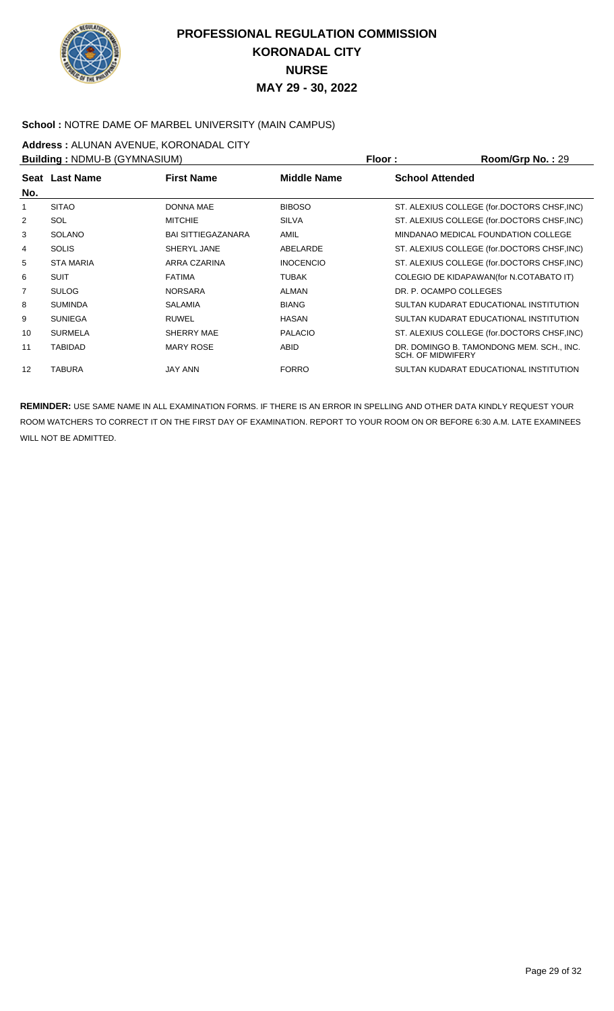

### **School :** NOTRE DAME OF MARBEL UNIVERSITY (MAIN CAMPUS)

**Address :** ALUNAN AVENUE, KORONADAL CITY

**Building : NDMU-B (GYMNASIUM) Floor : Room/Grp No. : 29 Seat** Last Name **No. Last Name First Name Middle Name School Attended** 1 SITAO DONNA MAE BIBOSO ST. ALEXIUS COLLEGE (for.DOCTORS CHSF,INC) 2 SOL MITCHIE SILVA ST. ALEXIUS COLLEGE (for.DOCTORS CHSF,INC) 3 SOLANO BAI SITTIEGAZANARA AMIL MINDANAO MEDICAL FOUNDATION COLLEGE 4 SOLIS SHERYL JANE ABELARDE ST. ALEXIUS COLLEGE (for.DOCTORS CHSF, INC) 5 STA MARIA **INOCENCIO** INOCENCIO ST. ALEXIUS COLLEGE (for.DOCTORS CHSF,INC) 6 SUIT SUIT FATIMA FATIMA TUBAK TUBAK COLEGIO DE KIDAPAWAN(for N.COTABATO IT) 7 SULOG NORSARA ALMAN DR. P. OCAMPO COLLEGES 8 SUMINDA SALAMIA BIANG SULTAN KUDARAT EDUCATIONAL INSTITUTION 9 SUNIEGA RUWEL HASAN SULTAN KUDARAT EDUCATIONAL INSTITUTION 10 SURMELA SHERRY MAE PALACIO ST. ALEXIUS COLLEGE (for.DOCTORS CHSF,INC) 11 TABIDAD MARY ROSE ABID DR. DOMINGO B. TAMONDONG MEM. SCH., INC. SCH. OF MIDWIFERY 12 TABURA JAY ANN FORRO SULTAN KUDARAT EDUCATIONAL INSTITUTION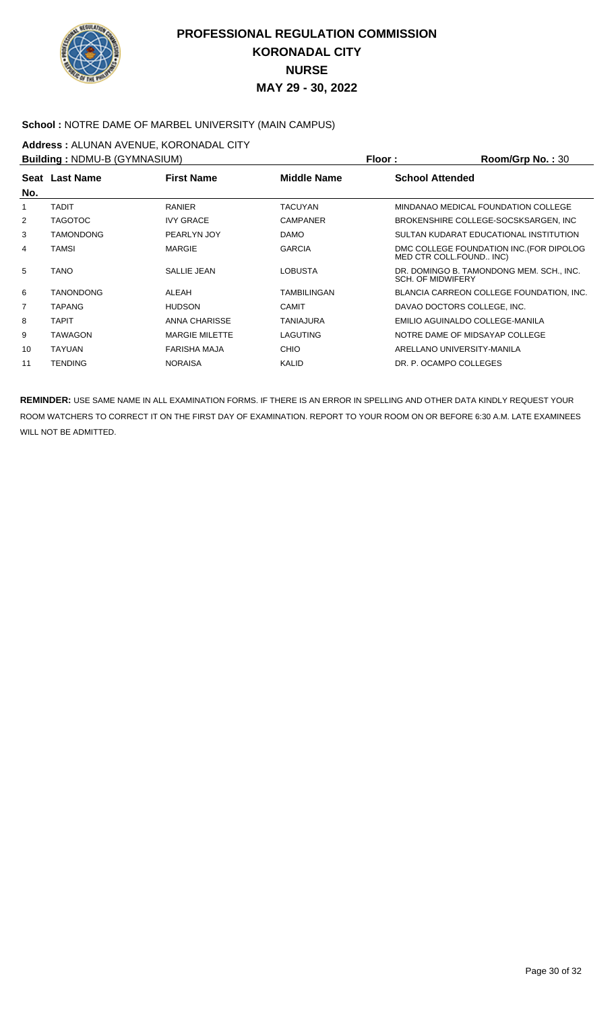

### **School :** NOTRE DAME OF MARBEL UNIVERSITY (MAIN CAMPUS)

**Address :** ALUNAN AVENUE, KORONADAL CITY

**Building :** NDMU-B (GYMNASIUM) **Floor : Room/Grp No. :** 30

| וויוטוס אווערן ט פ-טויושיר <b>: pullulily</b> |                  |                       |                    | FIOOL:<br><b>ROOIII/UID NO. . 30</b>                                 |
|-----------------------------------------------|------------------|-----------------------|--------------------|----------------------------------------------------------------------|
| Seat                                          | <b>Last Name</b> | <b>First Name</b>     | <b>Middle Name</b> | <b>School Attended</b>                                               |
| No.                                           |                  |                       |                    |                                                                      |
|                                               | <b>TADIT</b>     | <b>RANIER</b>         | <b>TACUYAN</b>     | MINDANAO MEDICAL FOUNDATION COLLEGE                                  |
| 2                                             | <b>TAGOTOC</b>   | <b>IVY GRACE</b>      | <b>CAMPANER</b>    | BROKENSHIRE COLLEGE-SOCSKSARGEN, INC                                 |
| 3                                             | <b>TAMONDONG</b> | PEARLYN JOY           | <b>DAMO</b>        | SULTAN KUDARAT EDUCATIONAL INSTITUTION                               |
| 4                                             | <b>TAMSI</b>     | <b>MARGIE</b>         | <b>GARCIA</b>      | DMC COLLEGE FOUNDATION INC. (FOR DIPOLOG<br>MED CTR COLL.FOUND INC)  |
| 5                                             | <b>TANO</b>      | SALLIE JEAN           | LOBUSTA            | DR. DOMINGO B. TAMONDONG MEM. SCH., INC.<br><b>SCH. OF MIDWIFERY</b> |
| 6                                             | <b>TANONDONG</b> | <b>ALEAH</b>          | <b>TAMBILINGAN</b> | BLANCIA CARREON COLLEGE FOUNDATION, INC.                             |
| 7                                             | <b>TAPANG</b>    | <b>HUDSON</b>         | <b>CAMIT</b>       | DAVAO DOCTORS COLLEGE. INC.                                          |
| 8                                             | <b>TAPIT</b>     | ANNA CHARISSE         | <b>TANIAJURA</b>   | EMILIO AGUINALDO COLLEGE-MANILA                                      |
| 9                                             | <b>TAWAGON</b>   | <b>MARGIE MILETTE</b> | LAGUTING           | NOTRE DAME OF MIDSAYAP COLLEGE                                       |
| 10                                            | <b>TAYUAN</b>    | <b>FARISHA MAJA</b>   | <b>CHIO</b>        | ARELLANO UNIVERSITY-MANILA                                           |
| 11                                            | <b>TENDING</b>   | <b>NORAISA</b>        | KALID              | DR. P. OCAMPO COLLEGES                                               |
|                                               |                  |                       |                    |                                                                      |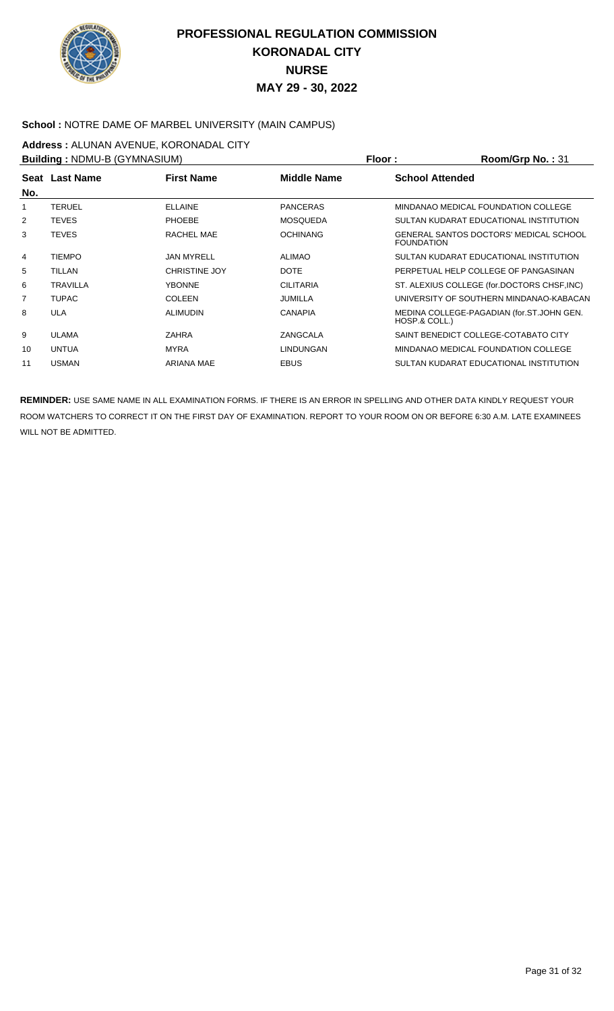

### **School :** NOTRE DAME OF MARBEL UNIVERSITY (MAIN CAMPUS)

**Address :** ALUNAN AVENUE, KORONADAL CITY

| Building: NDMU-B (GYMNASIUM) |                 |                      |                    | Floor:                 | Room/Grp No.: 31                            |
|------------------------------|-----------------|----------------------|--------------------|------------------------|---------------------------------------------|
|                              | Seat Last Name  | <b>First Name</b>    | <b>Middle Name</b> | <b>School Attended</b> |                                             |
| No.                          |                 |                      |                    |                        |                                             |
|                              | <b>TERUEL</b>   | <b>ELLAINE</b>       | <b>PANCERAS</b>    |                        | MINDANAO MEDICAL FOUNDATION COLLEGE         |
| 2                            | <b>TEVES</b>    | <b>PHOEBE</b>        | <b>MOSQUEDA</b>    |                        | SULTAN KUDARAT EDUCATIONAL INSTITUTION      |
| 3                            | <b>TEVES</b>    | RACHEL MAE           | <b>OCHINANG</b>    | <b>FOUNDATION</b>      | GENERAL SANTOS DOCTORS' MEDICAL SCHOOL      |
| 4                            | <b>TIEMPO</b>   | <b>JAN MYRELL</b>    | <b>ALIMAO</b>      |                        | SULTAN KUDARAT EDUCATIONAL INSTITUTION      |
| 5                            | <b>TILLAN</b>   | <b>CHRISTINE JOY</b> | <b>DOTE</b>        |                        | PERPETUAL HELP COLLEGE OF PANGASINAN        |
| 6                            | <b>TRAVILLA</b> | <b>YBONNE</b>        | <b>CILITARIA</b>   |                        | ST. ALEXIUS COLLEGE (for.DOCTORS CHSF, INC) |
| 7                            | <b>TUPAC</b>    | <b>COLEEN</b>        | JUMILLA            |                        | UNIVERSITY OF SOUTHERN MINDANAO-KABACAN     |
| 8                            | <b>ULA</b>      | <b>ALIMUDIN</b>      | <b>CANAPIA</b>     | HOSP.& COLL.)          | MEDINA COLLEGE-PAGADIAN (for.ST.JOHN GEN.   |
| 9                            | <b>ULAMA</b>    | <b>ZAHRA</b>         | ZANGCALA           |                        | SAINT BENEDICT COLLEGE-COTABATO CITY        |
| 10                           | <b>UNTUA</b>    | <b>MYRA</b>          | <b>LINDUNGAN</b>   |                        | MINDANAO MEDICAL FOUNDATION COLLEGE         |
| 11                           | <b>USMAN</b>    | <b>ARIANA MAE</b>    | <b>EBUS</b>        |                        | SULTAN KUDARAT EDUCATIONAL INSTITUTION      |